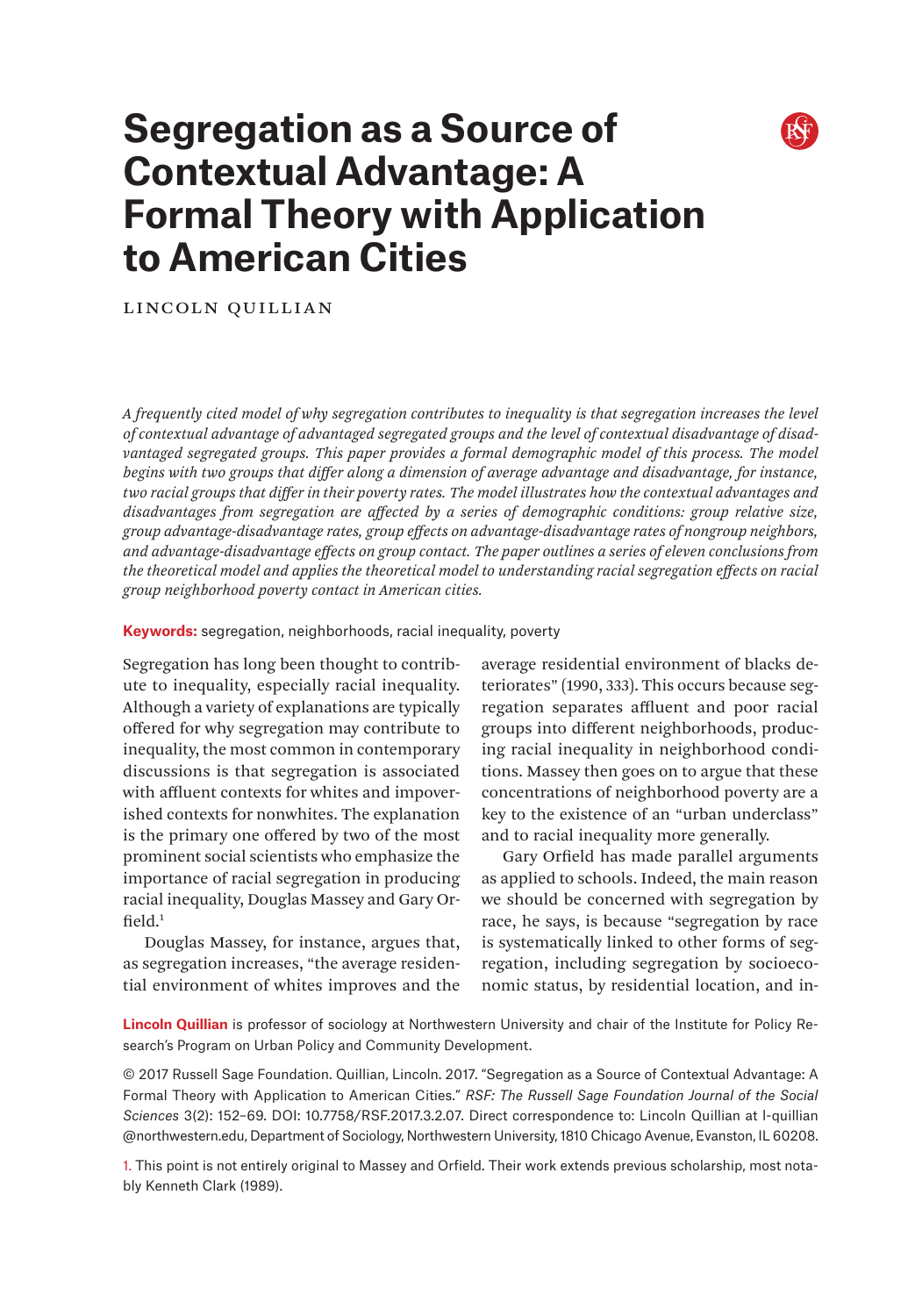# **Segregation as a Source of Contextual Advantage: A Formal Theory with Application to American Cities**

Lincoln Quillian

*A frequently cited model of why segregation contributes to inequality is that segregation increases the level of contextual advantage of advantaged segregated groups and the level of contextual disadvantage of disad*vantaged segregated groups. This paper provides a formal demographic model of this process. The model *begins with two groups that differ along a dimension of average advantage and disadvantage, for instance, two racial groups that differ in their poverty rates. The model illustrates how the contextual advantages and disadvantages from segregation are affected by a series of demographic conditions: group relative size, group advantage-disadvantage rates, group effects on advantage-disadvantage rates of nongroup neighbors, and advantage-disadvantage effects on group contact. The paper outlines a series of eleven conclusions from the theoretical model and applies the theoretical model to understanding racial segregation effects on racial group neighborhood poverty contact in American cities.*

#### **Keywords:** segregation, neighborhoods, racial inequality, poverty

Segregation has long been thought to contribute to inequality, especially racial inequality. Although a variety of explanations are typically offered for why segregation may contribute to inequality, the most common in contemporary discussions is that segregation is associated with affluent contexts for whites and impoverished contexts for nonwhites. The explanation is the primary one offered by two of the most prominent social scientists who emphasize the importance of racial segregation in producing racial inequality, Douglas Massey and Gary Orfield. $1$ 

Douglas Massey, for instance, argues that, as segregation increases, "the average residential environment of whites improves and the average residential environment of blacks deteriorates" (1990, 333). This occurs because segregation separates affluent and poor racial groups into different neighborhoods, producing racial inequality in neighborhood conditions. Massey then goes on to argue that these concentrations of neighborhood poverty are a key to the existence of an "urban underclass" and to racial inequality more generally.

Gary Orfield has made parallel arguments as applied to schools. Indeed, the main reason we should be concerned with segregation by race, he says, is because "segregation by race is systematically linked to other forms of segregation, including segregation by socioeconomic status, by residential location, and in-

**Lincoln Quillian** is professor of sociology at Northwestern University and chair of the Institute for Policy Research's Program on Urban Policy and Community Development.

© 2017 Russell Sage Foundation. Quillian, Lincoln. 2017. "Segregation as a Source of Contextual Advantage: A Formal Theory with Application to American Cities." *RSF: The Russell Sage Foundation Journal of the Social Sciences* 3(2): 152–69. DOI: 10.7758/RSF.2017.3.2.07. Direct correspondence to: Lincoln Quillian at [l-quillian](mailto:l-%C2%ADquillian%40northwestern.edu?subject=) [@northwestern.edu](mailto:l-%C2%ADquillian%40northwestern.edu?subject=), Department of Sociology, Northwestern University, 1810 Chicago Avenue, Evanston, IL 60208.

1. This point is not entirely original to Massey and Orfield. Their work extends previous scholarship, most notably Kenneth Clark (1989).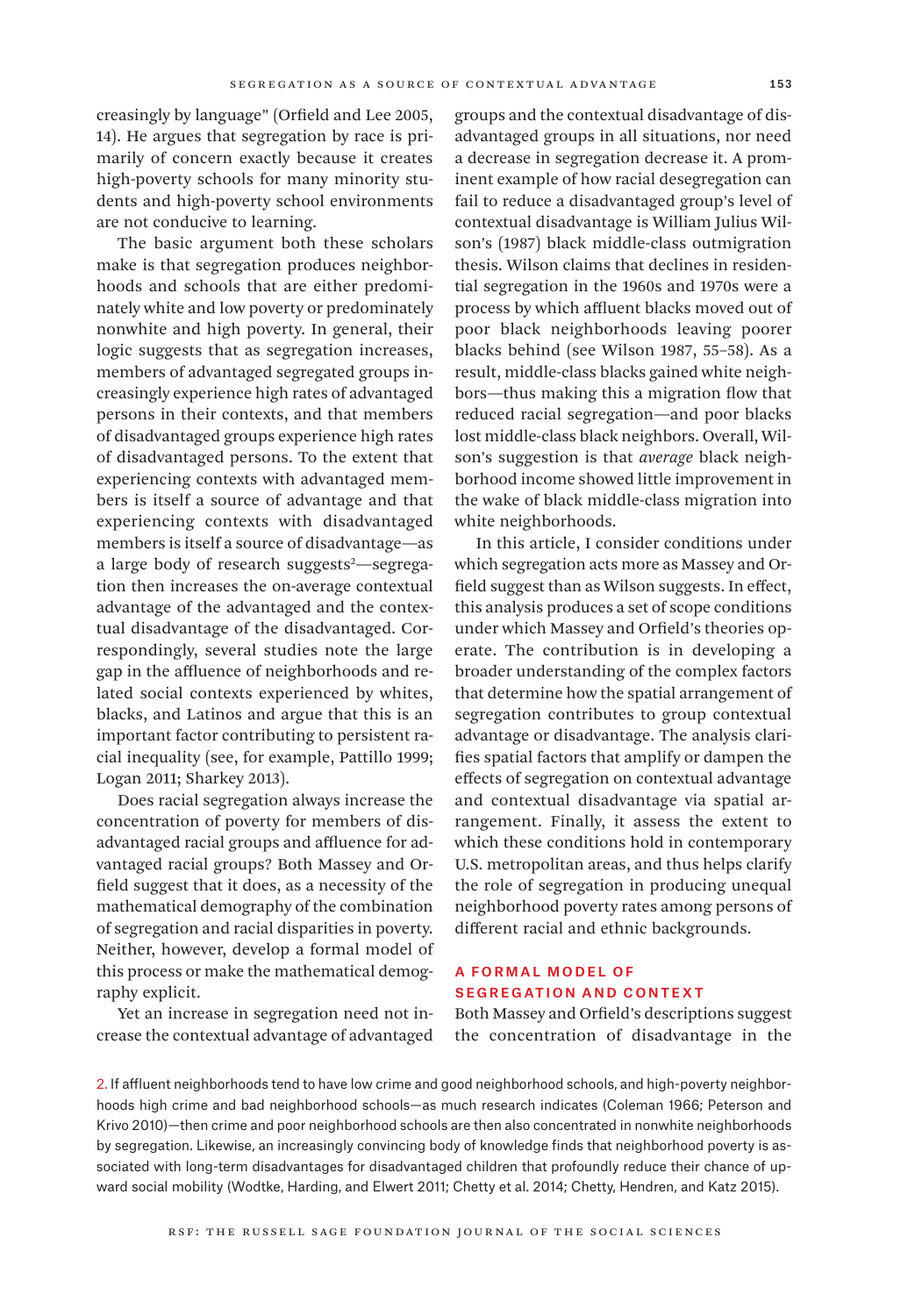creasingly by language" (Orfield and Lee 2005, 14). He argues that segregation by race is primarily of concern exactly because it creates high-poverty schools for many minority students and high-poverty school environments are not conducive to learning.

The basic argument both these scholars make is that segregation produces neighborhoods and schools that are either predominately white and low poverty or predominately nonwhite and high poverty. In general, their logic suggests that as segregation increases, members of advantaged segregated groups increasingly experience high rates of advantaged persons in their contexts, and that members of disadvantaged groups experience high rates of disadvantaged persons. To the extent that experiencing contexts with advantaged members is itself a source of advantage and that experiencing contexts with disadvantaged members is itself a source of disadvantage—as a large body of research suggests<sup>2</sup>—segregation then increases the on-average contextual advantage of the advantaged and the contextual disadvantage of the disadvantaged. Correspondingly, several studies note the large gap in the affluence of neighborhoods and related social contexts experienced by whites, blacks, and Latinos and argue that this is an important factor contributing to persistent racial inequality (see, for example, Pattillo 1999; Logan 2011; Sharkey 2013).

Does racial segregation always increase the concentration of poverty for members of disadvantaged racial groups and affluence for advantaged racial groups? Both Massey and Orfield suggest that it does, as a necessity of the mathematical demography of the combination of segregation and racial disparities in poverty. Neither, however, develop a formal model of this process or make the mathematical demography explicit.

Yet an increase in segregation need not increase the contextual advantage of advantaged groups and the contextual disadvantage of disadvantaged groups in all situations, nor need a decrease in segregation decrease it. A prominent example of how racial desegregation can fail to reduce a disadvantaged group's level of contextual disadvantage is William Julius Wilson's (1987) black middle-class outmigration thesis. Wilson claims that declines in residential segregation in the 1960s and 1970s were a process by which affluent blacks moved out of poor black neighborhoods leaving poorer blacks behind (see Wilson 1987, 55–58). As a result, middle-class blacks gained white neighbors—thus making this a migration flow that reduced racial segregation—and poor blacks lost middle-class black neighbors. Overall, Wilson's suggestion is that *average* black neighborhood income showed little improvement in the wake of black middle-class migration into white neighborhoods.

In this article, I consider conditions under which segregation acts more as Massey and Orfield suggest than as Wilson suggests. In effect, this analysis produces a set of scope conditions under which Massey and Orfield's theories operate. The contribution is in developing a broader understanding of the complex factors that determine how the spatial arrangement of segregation contributes to group contextual advantage or disadvantage. The analysis clarifies spatial factors that amplify or dampen the effects of segregation on contextual advantage and contextual disadvantage via spatial arrangement. Finally, it assess the extent to which these conditions hold in contemporary U.S. metropolitan areas, and thus helps clarify the role of segregation in producing unequal neighborhood poverty rates among persons of different racial and ethnic backgrounds.

# A Formal Model of Segregation and Context

Both Massey and Orfield's descriptions suggest the concentration of disadvantage in the

2. If affluent neighborhoods tend to have low crime and good neighborhood schools, and high-poverty neighborhoods high crime and bad neighborhood schools—as much research indicates (Coleman 1966; Peterson and Krivo 2010)—then crime and poor neighborhood schools are then also concentrated in nonwhite neighborhoods by segregation. Likewise, an increasingly convincing body of knowledge finds that neighborhood poverty is associated with long-term disadvantages for disadvantaged children that profoundly reduce their chance of upward social mobility (Wodtke, Harding, and Elwert 2011; Chetty et al. 2014; Chetty, Hendren, and Katz 2015).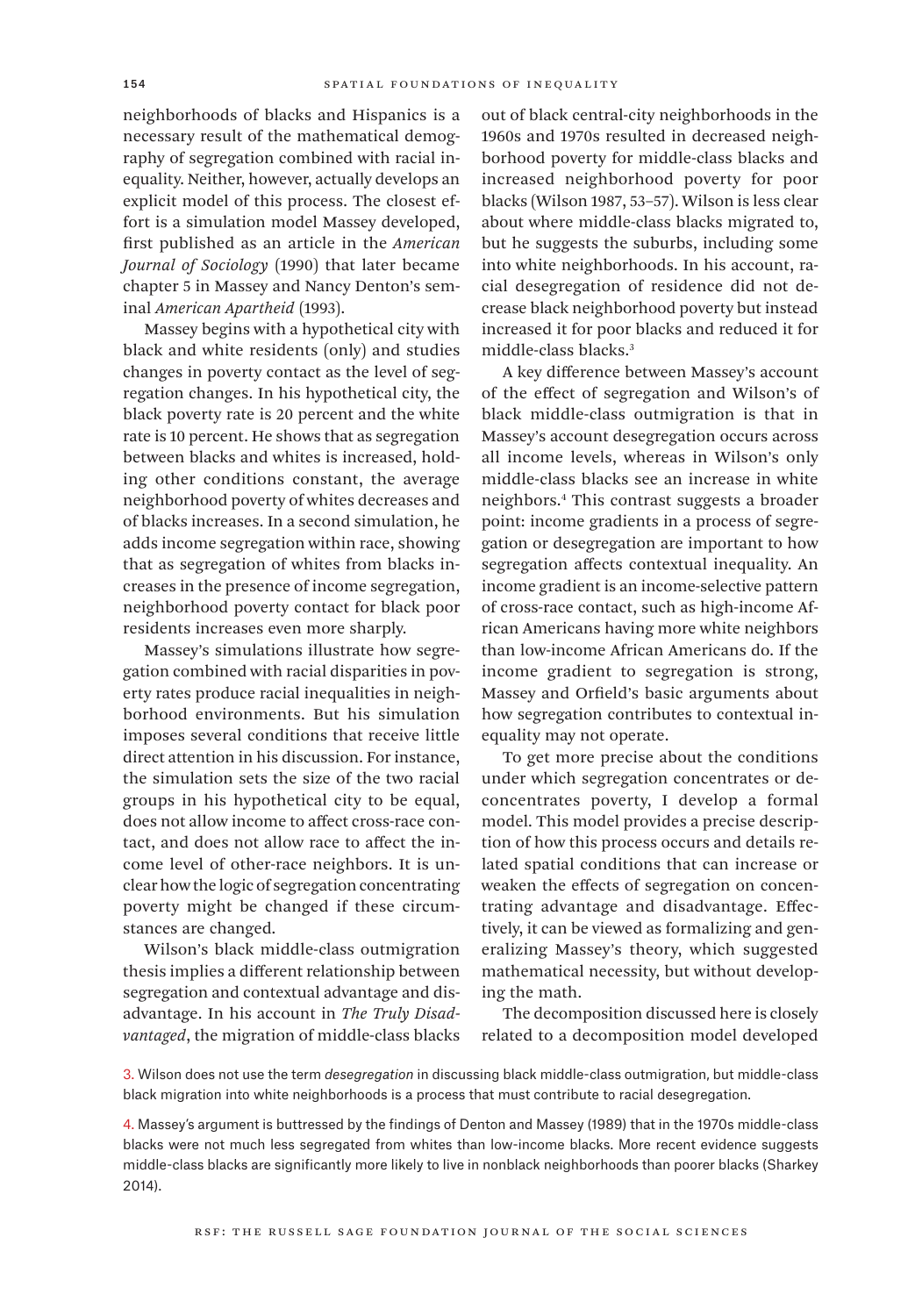neighborhoods of blacks and Hispanics is a necessary result of the mathematical demography of segregation combined with racial inequality. Neither, however, actually develops an explicit model of this process. The closest effort is a simulation model Massey developed, first published as an article in the *American Journal of Sociology* (1990) that later became chapter 5 in Massey and Nancy Denton's seminal *American Apartheid* (1993).

Massey begins with a hypothetical city with black and white residents (only) and studies changes in poverty contact as the level of segregation changes. In his hypothetical city, the black poverty rate is 20 percent and the white rate is 10 percent. He shows that as segregation between blacks and whites is increased, holding other conditions constant, the average neighborhood poverty of whites decreases and of blacks increases. In a second simulation, he adds income segregation within race, showing that as segregation of whites from blacks increases in the presence of income segregation, neighborhood poverty contact for black poor residents increases even more sharply.

Massey's simulations illustrate how segregation combined with racial disparities in poverty rates produce racial inequalities in neighborhood environments. But his simulation imposes several conditions that receive little direct attention in his discussion. For instance, the simulation sets the size of the two racial groups in his hypothetical city to be equal, does not allow income to affect cross-race contact, and does not allow race to affect the income level of other-race neighbors. It is unclear how the logic of segregation concentrating poverty might be changed if these circumstances are changed.

Wilson's black middle-class outmigration thesis implies a different relationship between segregation and contextual advantage and disadvantage. In his account in *The Truly Disadvantaged*, the migration of middle-class blacks

out of black central-city neighborhoods in the 1960s and 1970s resulted in decreased neighborhood poverty for middle-class blacks and increased neighborhood poverty for poor blacks (Wilson 1987, 53–57). Wilson is less clear about where middle-class blacks migrated to, but he suggests the suburbs, including some into white neighborhoods. In his account, racial desegregation of residence did not decrease black neighborhood poverty but instead increased it for poor blacks and reduced it for middle-class blacks.3

A key difference between Massey's account of the effect of segregation and Wilson's of black middle-class outmigration is that in Massey's account desegregation occurs across all income levels, whereas in Wilson's only middle-class blacks see an increase in white neighbors.4 This contrast suggests a broader point: income gradients in a process of segregation or desegregation are important to how segregation affects contextual inequality. An income gradient is an income-selective pattern of cross-race contact, such as high-income African Americans having more white neighbors than low-income African Americans do. If the income gradient to segregation is strong, Massey and Orfield's basic arguments about how segregation contributes to contextual inequality may not operate.

To get more precise about the conditions under which segregation concentrates or deconcentrates poverty, I develop a formal model. This model provides a precise description of how this process occurs and details related spatial conditions that can increase or weaken the effects of segregation on concentrating advantage and disadvantage. Effectively, it can be viewed as formalizing and generalizing Massey's theory, which suggested mathematical necessity, but without developing the math.

The decomposition discussed here is closely related to a decomposition model developed

3. Wilson does not use the term *desegregation* in discussing black middle-class outmigration, but middle-class black migration into white neighborhoods is a process that must contribute to racial desegregation.

4. Massey's argument is buttressed by the findings of Denton and Massey (1989) that in the 1970s middle-class blacks were not much less segregated from whites than low-income blacks. More recent evidence suggests middle-class blacks are significantly more likely to live in nonblack neighborhoods than poorer blacks (Sharkey 2014).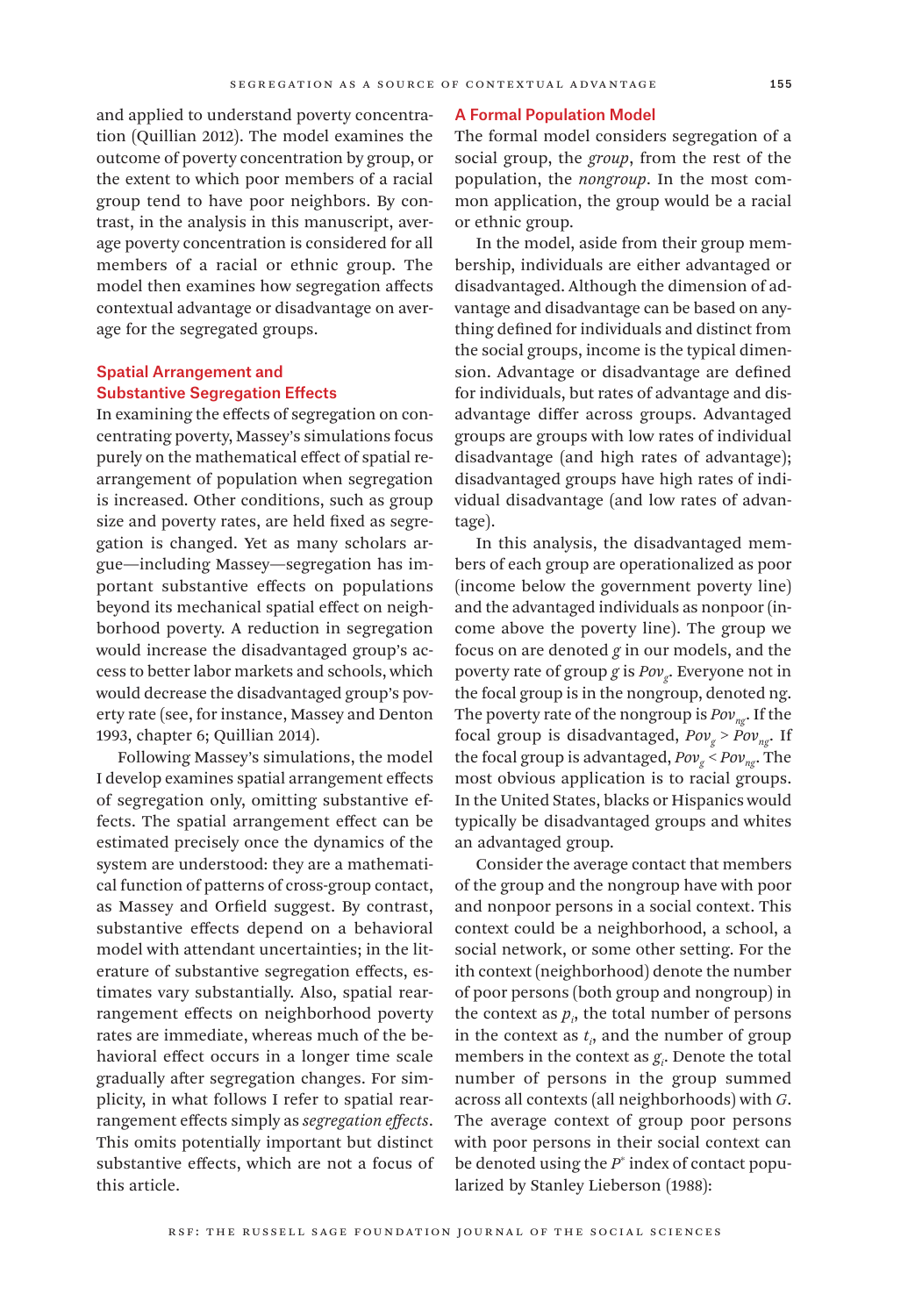and applied to understand poverty concentration (Quillian 2012). The model examines the outcome of poverty concentration by group, or the extent to which poor members of a racial group tend to have poor neighbors. By contrast, in the analysis in this manuscript, average poverty concentration is considered for all members of a racial or ethnic group. The model then examines how segregation affects contextual advantage or disadvantage on average for the segregated groups.

## Spatial Arrangement and Substantive Segregation Effects

In examining the effects of segregation on concentrating poverty, Massey's simulations focus purely on the mathematical effect of spatial rearrangement of population when segregation is increased. Other conditions, such as group size and poverty rates, are held fixed as segregation is changed. Yet as many scholars argue—including Massey—segregation has important substantive effects on populations beyond its mechanical spatial effect on neighborhood poverty. A reduction in segregation would increase the disadvantaged group's access to better labor markets and schools, which would decrease the disadvantaged group's poverty rate (see, for instance, Massey and Denton 1993, chapter 6; Quillian 2014).

Following Massey's simulations, the model I develop examines spatial arrangement effects of segregation only, omitting substantive effects. The spatial arrangement effect can be estimated precisely once the dynamics of the system are understood: they are a mathematical function of patterns of cross-group contact, as Massey and Orfield suggest. By contrast, substantive effects depend on a behavioral model with attendant uncertainties; in the literature of substantive segregation effects, estimates vary substantially. Also, spatial rearrangement effects on neighborhood poverty rates are immediate, whereas much of the behavioral effect occurs in a longer time scale gradually after segregation changes. For simplicity, in what follows I refer to spatial rearrangement effects simply as *segregation effects*. This omits potentially important but distinct substantive effects, which are not a focus of this article.

#### A Formal Population Model

The formal model considers segregation of a social group, the *group*, from the rest of the population, the *nongroup*. In the most common application, the group would be a racial or ethnic group.

In the model, aside from their group membership, individuals are either advantaged or disadvantaged. Although the dimension of advantage and disadvantage can be based on anything defined for individuals and distinct from the social groups, income is the typical dimension. Advantage or disadvantage are defined for individuals, but rates of advantage and disadvantage differ across groups. Advantaged groups are groups with low rates of individual disadvantage (and high rates of advantage); disadvantaged groups have high rates of individual disadvantage (and low rates of advantage).

In this analysis, the disadvantaged members of each group are operationalized as poor (income below the government poverty line) and the advantaged individuals as nonpoor (income above the poverty line). The group we focus on are denoted *g* in our models, and the poverty rate of group *g* is *Pov*<sub>c</sub>. Everyone not in the focal group is in the nongroup, denoted ng. The poverty rate of the nongroup is  $Pov_{n\sigma}$ . If the focal group is disadvantaged,  $Pov_{g} > Pov_{ng}$ . If the focal group is advantaged,  $Pov_{g}$  <  $Pov_{ng}$ . The most obvious application is to racial groups. In the United States, blacks or Hispanics would typically be disadvantaged groups and whites an advantaged group.

Consider the average contact that members of the group and the nongroup have with poor and nonpoor persons in a social context. This context could be a neighborhood, a school, a social network, or some other setting. For the ith context (neighborhood) denote the number of poor persons (both group and nongroup) in the context as  $p_i$ , the total number of persons in the context as  $t_i$ , and the number of group members in the context as  $g_i$ . Denote the total number of persons in the group summed across all contexts (all neighborhoods) with *G*. The average context of group poor persons with poor persons in their social context can be denoted using the *P*\* index of contact popularized by Stanley Lieberson (1988):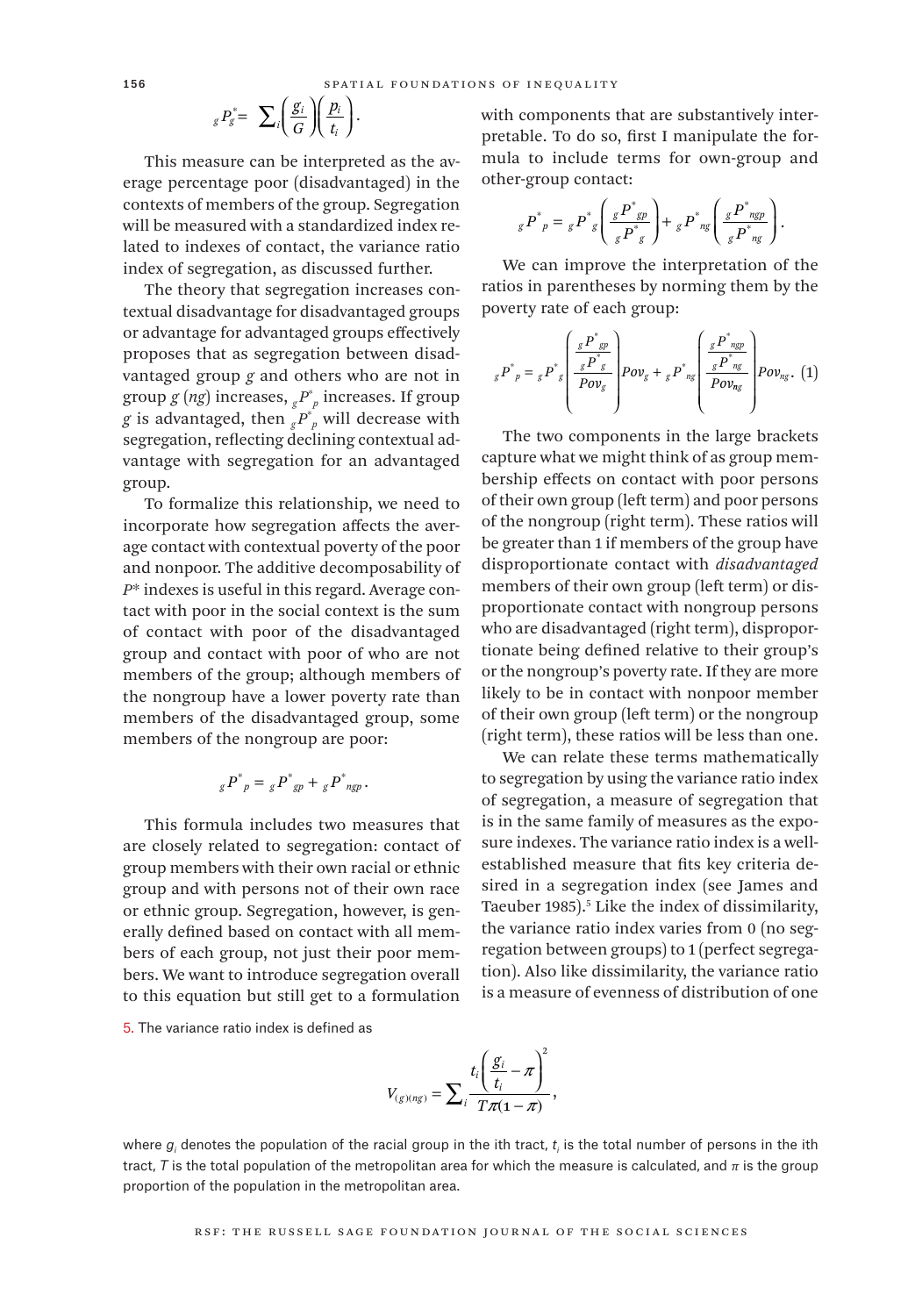$$
{}_{g}P_{g}^* = \sum_{i} \left(\frac{g_i}{G}\right) \left(\frac{p_i}{t_i}\right).
$$

This measure can be interpreted as the average percentage poor (disadvantaged) in the contexts of members of the group. Segregation will be measured with a standardized index related to indexes of contact, the variance ratio index of segregation, as discussed further.

The theory that segregation increases contextual disadvantage for disadvantaged groups or advantage for advantaged groups effectively proposes that as segregation between disadvantaged group *g* and others who are not in group *g* (*ng*) increases, *gP*\* *<sup>p</sup>* increases. If group *g* is advantaged, then  ${}_{g}P^*$  will decrease with segregation, reflecting declining contextual advantage with segregation for an advantaged group.

To formalize this relationship, we need to incorporate how segregation affects the average contact with contextual poverty of the poor and nonpoor. The additive decomposability of *P*\* indexes is useful in this regard. Average contact with poor in the social context is the sum of contact with poor of the disadvantaged group and contact with poor of who are not members of the group; although members of the nongroup have a lower poverty rate than members of the disadvantaged group, some members of the nongroup are poor:

$$
g P^*_{p} = g P^*_{gp} + g P^*_{ngp}.
$$

This formula includes two measures that are closely related to segregation: contact of group members with their own racial or ethnic group and with persons not of their own race or ethnic group. Segregation, however, is generally defined based on contact with all members of each group, not just their poor members. We want to introduce segregation overall to this equation but still get to a formulation with components that are substantively interpretable. To do so, first I manipulate the formula to include terms for own-group and other-group contact:

$$
g P^*_{p} = g P^*_{g} \left( \frac{g P^*_{gp}}{g P^*_{g}} \right) + g P^*_{ng} \left( \frac{g P^*_{ngp}}{g P^*_{ng}} \right).
$$

We can improve the interpretation of the ratios in parentheses by norming them by the poverty rate of each group:

$$
{}_{g}P^*{}_{p} = {}_{g}P^*{}_{g}\left(\frac{\frac{gP^*{}_{gp}}{gP^*{}_{g}}}{Pov_g}\right)Pov_g + {}_{g}P^*{}_{ng}\left(\frac{\frac{gP^*{}_{ngp}}{gP^*{}_{ng}}}{Pov_{ng}}\right)Pov_{ng}.\tag{1}
$$

The two components in the large brackets capture what we might think of as group membership effects on contact with poor persons of their own group (left term) and poor persons of the nongroup (right term). These ratios will be greater than 1 if members of the group have disproportionate contact with *disadvantaged* members of their own group (left term) or disproportionate contact with nongroup persons who are disadvantaged (right term), disproportionate being defined relative to their group's or the nongroup's poverty rate. If they are more likely to be in contact with nonpoor member of their own group (left term) or the nongroup (right term), these ratios will be less than one.

We can relate these terms mathematically to segregation by using the variance ratio index of segregation, a measure of segregation that is in the same family of measures as the exposure indexes. The variance ratio index is a wellestablished measure that fits key criteria desired in a segregation index (see James and Taeuber 1985).5 Like the index of dissimilarity, the variance ratio index varies from 0 (no segregation between groups) to 1 (perfect segregation). Also like dissimilarity, the variance ratio is a measure of evenness of distribution of one

5. The variance ratio index is defined as

$$
V_{(g)(ng)} = \sum_i \frac{t_i \left(\frac{g_i}{t_i} - \pi\right)^2}{T\pi(1-\pi)},
$$

where  $g_i$  denotes the population of the racial group in the ith tract,  $t_i$  is the total number of persons in the ith tract, *T* is the total population of the metropolitan area for which the measure is calculated, and *π* is the group proportion of the population in the metropolitan area.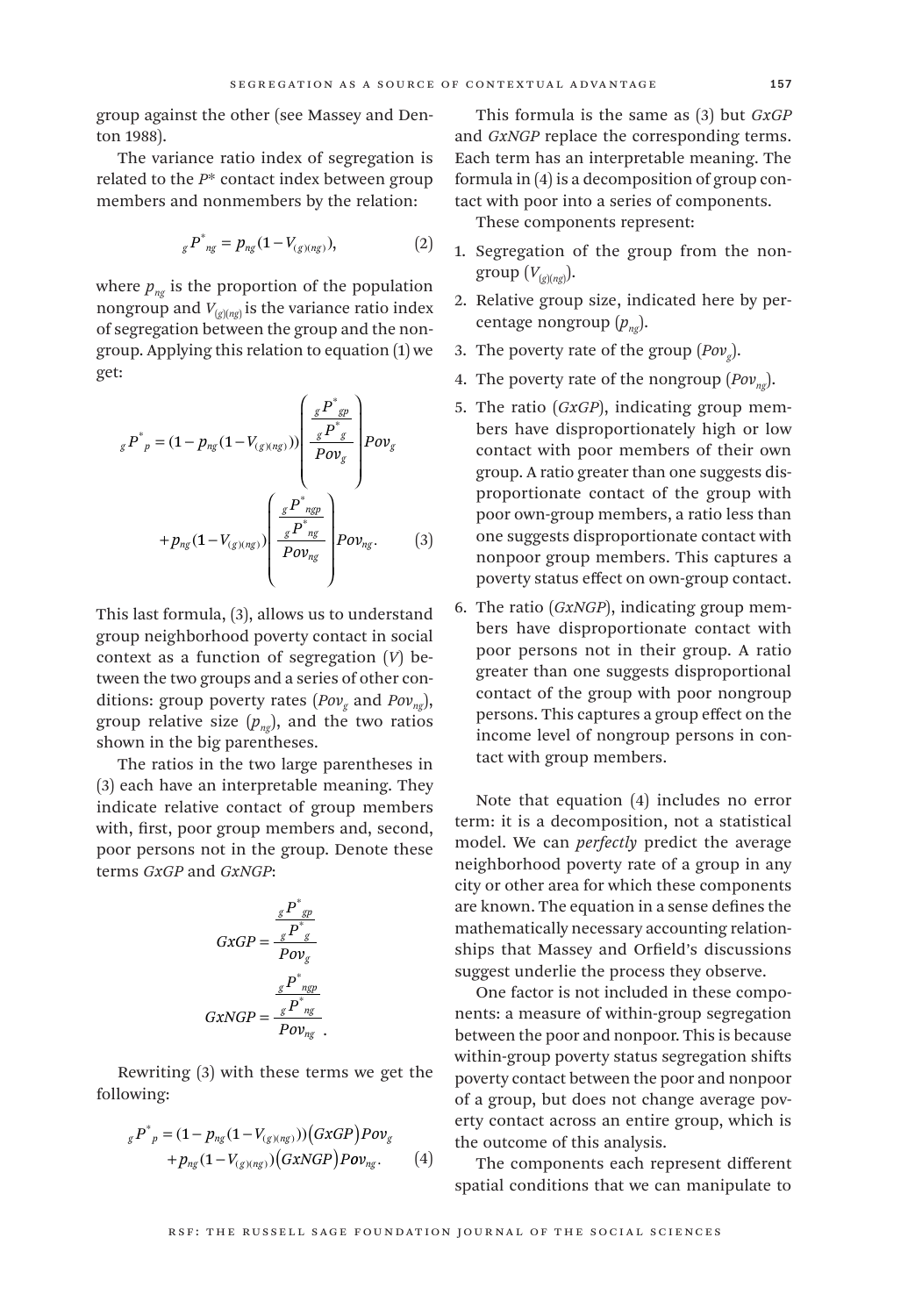group against the other (see Massey and Denton 1988).

The variance ratio index of segregation is related to the *P*\* contact index between group members and nonmembers by the relation:

$$
{}_{g}P^*_{ng} = p_{ng}(1 - V_{(g)(ng)}), \tag{2}
$$

where  $p_{n\sigma}$  is the proportion of the population nongroup and  $V_{(g)(ng)}$  is the variance ratio index of segregation between the group and the nongroup. Applying this relation to equation (1) we get:

$$
{}_{g}P^*{}_{p} = (1 - p_{ng}(1 - V_{(g)(ng)})) \left( \frac{gP^*{}_{gp}}{P \cdot g} \right) \rightarrow p_{\text{ov}_g}
$$

$$
+ p_{ng}(1 - V_{(g)(ng)}) \left( \frac{gP^*{}_{ngp}}{P \cdot g} \right) \rightarrow p_{\text{ov}_{ng}}.
$$

$$
(3)
$$

This last formula, (3), allows us to understand group neighborhood poverty contact in social context as a function of segregation (*V*) between the two groups and a series of other conditions: group poverty rates (*Povg* and *Povng*), group relative size  $(p_{ng})$ , and the two ratios shown in the big parentheses.

The ratios in the two large parentheses in (3) each have an interpretable meaning. They indicate relative contact of group members with, first, poor group members and, second, poor persons not in the group. Denote these terms *GxGP* and *GxNGP*:

$$
GxGP = \frac{\sum_{g} P^*_{g}}{Pov_g}
$$

$$
GxNGP = \frac{\sum_{g} P^*_{ng}}{Pov_g}
$$

$$
GxNGP = \frac{\sum_{g} P^*_{ng}}{Pov_{ng}}
$$

Rewriting (3) with these terms we get the following:

$$
{}_{g}P^{\ast}{}_{p} = (1 - p_{ng}(1 - V_{(g)(ng)})) (GxGP) Pov_{g}
$$
  
+ 
$$
p_{ng}(1 - V_{(g)(ng)}) (GxNGP) Pov_{ng}.
$$
 (4)

This formula is the same as (3) but *GxGP* and *GxNGP* replace the corresponding terms. Each term has an interpretable meaning. The formula in (4) is a decomposition of group contact with poor into a series of components.

These components represent:

- 1. Segregation of the group from the nongroup (*V*(*g*)(*ng*) ).
- 2. Relative group size, indicated here by percentage nongroup  $(p_{nq})$ .
- 3. The poverty rate of the group  $(Pow<sub>s</sub>)$ .
- 4. The poverty rate of the nongroup  $(Pow_{ng})$ .
- 5. The ratio (*GxGP*), indicating group members have disproportionately high or low contact with poor members of their own group. A ratio greater than one suggests disproportionate contact of the group with poor own-group members, a ratio less than one suggests disproportionate contact with nonpoor group members. This captures a poverty status effect on own-group contact.
- 6. The ratio (*GxNGP*), indicating group members have disproportionate contact with poor persons not in their group. A ratio greater than one suggests disproportional contact of the group with poor nongroup persons. This captures a group effect on the income level of nongroup persons in contact with group members.

Note that equation (4) includes no error term: it is a decomposition, not a statistical model. We can *perfectly* predict the average neighborhood poverty rate of a group in any city or other area for which these components are known. The equation in a sense defines the mathematically necessary accounting relationships that Massey and Orfield's discussions suggest underlie the process they observe.

One factor is not included in these components: a measure of within-group segregation between the poor and nonpoor. This is because within-group poverty status segregation shifts poverty contact between the poor and nonpoor of a group, but does not change average poverty contact across an entire group, which is the outcome of this analysis.

The components each represent different spatial conditions that we can manipulate to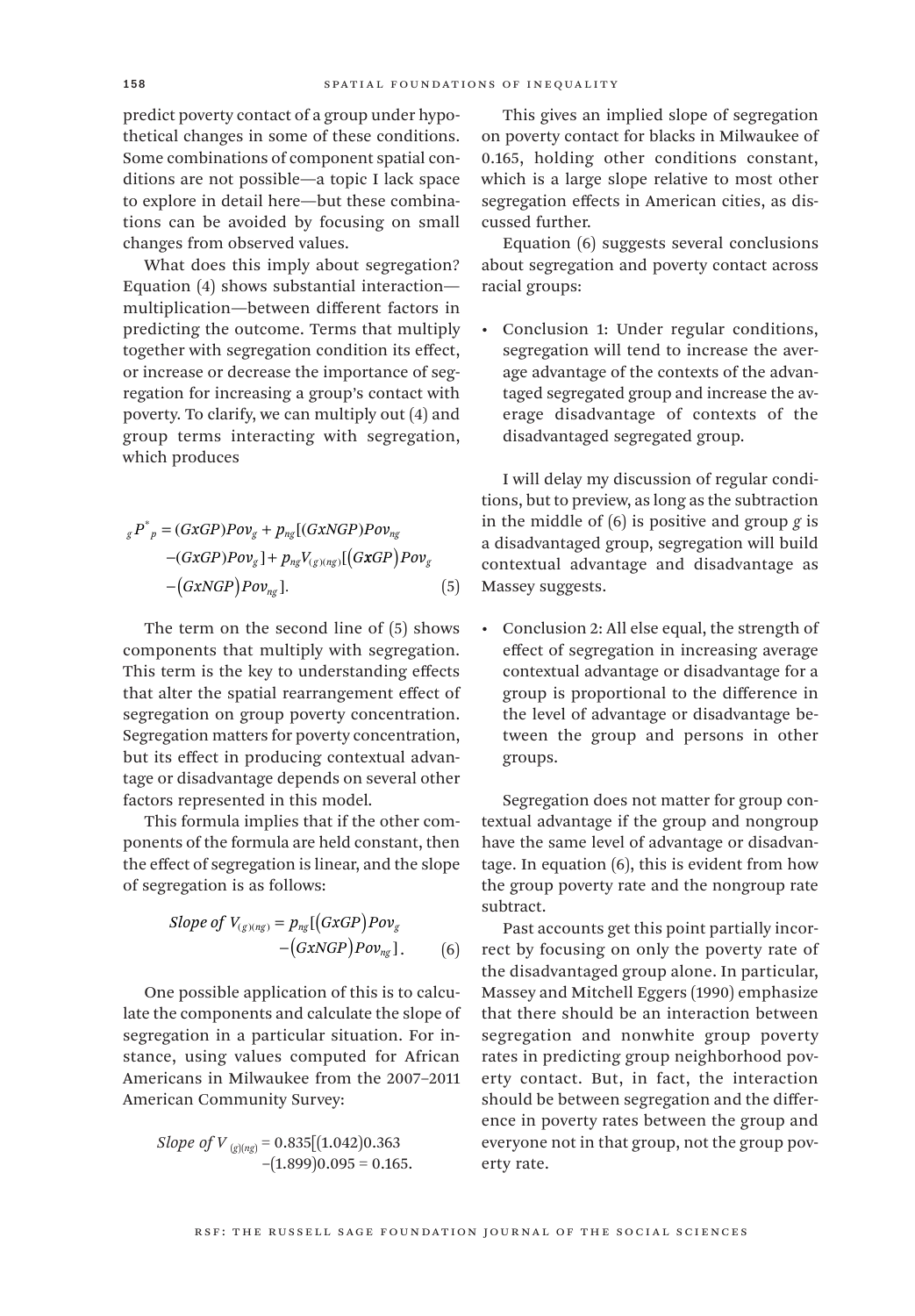predict poverty contact of a group under hypothetical changes in some of these conditions. Some combinations of component spatial conditions are not possible—a topic I lack space to explore in detail here—but these combinations can be avoided by focusing on small changes from observed values.

What does this imply about segregation? Equation (4) shows substantial interaction multiplication—between different factors in predicting the outcome. Terms that multiply together with segregation condition its effect, or increase or decrease the importance of segregation for increasing a group's contact with poverty. To clarify, we can multiply out (4) and group terms interacting with segregation, which produces

$$
{}_{g}P^{\dagger}{}_{p} = (GxGP)Pov_{g} + p_{ng}[(GxNGP)Pov_{ng} - (GxGP)Pov_{g}] + p_{ng}V_{(g)(ng)}[(GxGP)Pov_{g} - (GxNGP)Pov_{ng}].
$$
\n
$$
(5)
$$

The term on the second line of (5) shows components that multiply with segregation. This term is the key to understanding effects that alter the spatial rearrangement effect of segregation on group poverty concentration. Segregation matters for poverty concentration, but its effect in producing contextual advantage or disadvantage depends on several other factors represented in this model.

This formula implies that if the other components of the formula are held constant, then the effect of segregation is linear, and the slope of segregation is as follows:

Slope of 
$$
V_{(g)(ng)} = p_{ng}[(GxGP)Pov_g - (GxNGP)Pov_{ng}]
$$
. (6)

One possible application of this is to calculate the components and calculate the slope of segregation in a particular situation. For instance, using values computed for African Americans in Milwaukee from the 2007–2011 American Community Survey:

*Slope of V*  $_{(g)(ng)} = 0.835[(1.042)0.363]$  $-(1.899)0.095 = 0.165$ .

This gives an implied slope of segregation on poverty contact for blacks in Milwaukee of 0.165, holding other conditions constant, which is a large slope relative to most other segregation effects in American cities, as discussed further.

Equation (6) suggests several conclusions about segregation and poverty contact across racial groups:

• Conclusion 1: Under regular conditions, segregation will tend to increase the average advantage of the contexts of the advantaged segregated group and increase the average disadvantage of contexts of the disadvantaged segregated group.

I will delay my discussion of regular conditions, but to preview, as long as the subtraction in the middle of (6) is positive and group *g* is a disadvantaged group, segregation will build contextual advantage and disadvantage as Massey suggests.

• Conclusion 2: All else equal, the strength of effect of segregation in increasing average contextual advantage or disadvantage for a group is proportional to the difference in the level of advantage or disadvantage between the group and persons in other groups.

Segregation does not matter for group contextual advantage if the group and nongroup have the same level of advantage or disadvantage. In equation (6), this is evident from how the group poverty rate and the nongroup rate subtract.

Past accounts get this point partially incorrect by focusing on only the poverty rate of the disadvantaged group alone. In particular, Massey and Mitchell Eggers (1990) emphasize that there should be an interaction between segregation and nonwhite group poverty rates in predicting group neighborhood poverty contact. But, in fact, the interaction should be between segregation and the difference in poverty rates between the group and everyone not in that group, not the group poverty rate.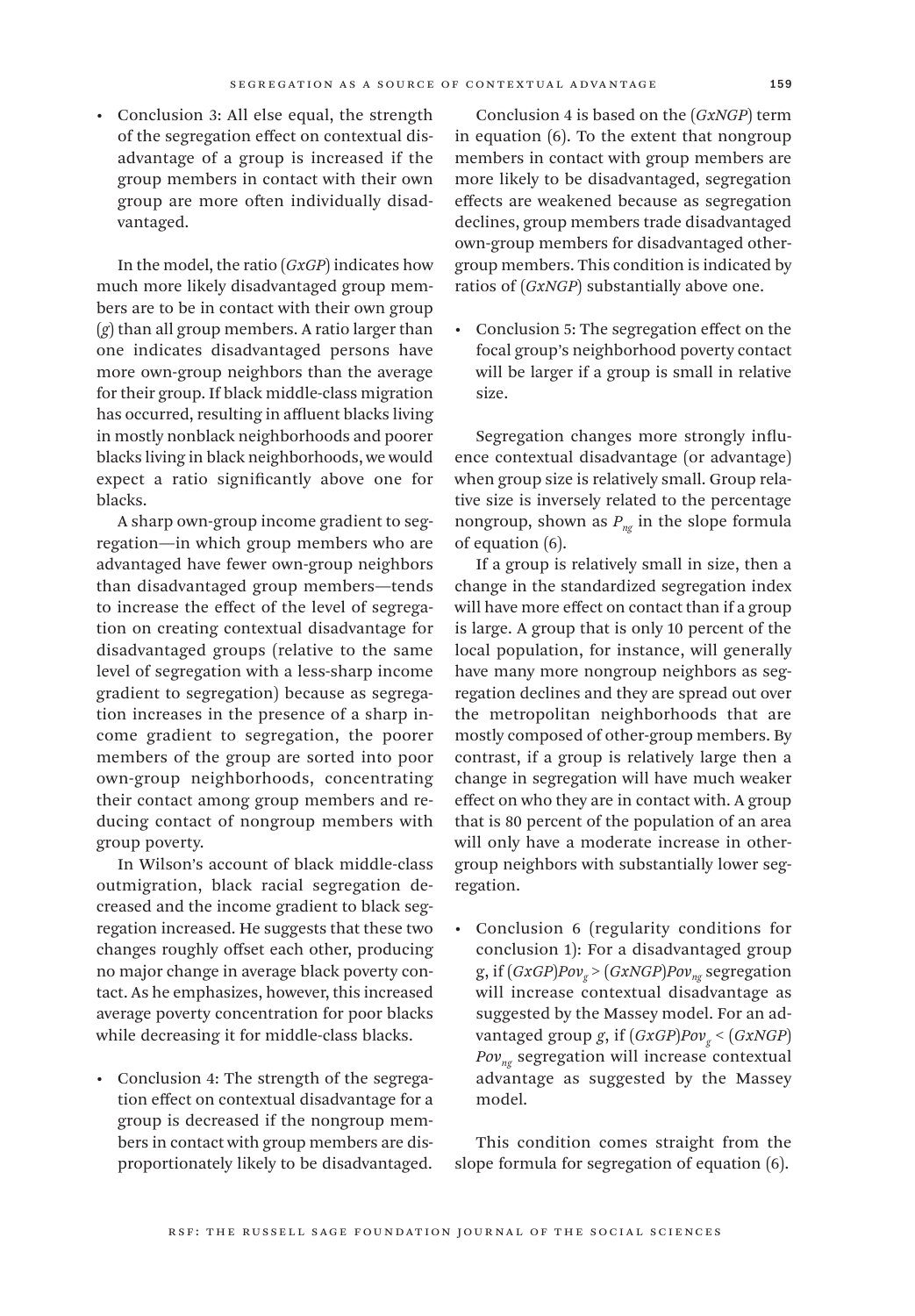• Conclusion 3: All else equal, the strength of the segregation effect on contextual disadvantage of a group is increased if the group members in contact with their own group are more often individually disad-

In the model, the ratio (*GxGP*) indicates how much more likely disadvantaged group members are to be in contact with their own group (*g*) than all group members. A ratio larger than one indicates disadvantaged persons have more own-group neighbors than the average for their group. If black middle-class migration has occurred, resulting in affluent blacks living in mostly nonblack neighborhoods and poorer blacks living in black neighborhoods, we would expect a ratio significantly above one for blacks.

vantaged.

A sharp own-group income gradient to segregation—in which group members who are advantaged have fewer own-group neighbors than disadvantaged group members—tends to increase the effect of the level of segregation on creating contextual disadvantage for disadvantaged groups (relative to the same level of segregation with a less-sharp income gradient to segregation) because as segregation increases in the presence of a sharp income gradient to segregation, the poorer members of the group are sorted into poor own-group neighborhoods, concentrating their contact among group members and reducing contact of nongroup members with group poverty.

In Wilson's account of black middle-class outmigration, black racial segregation decreased and the income gradient to black segregation increased. He suggests that these two changes roughly offset each other, producing no major change in average black poverty contact. As he emphasizes, however, this increased average poverty concentration for poor blacks while decreasing it for middle-class blacks.

• Conclusion 4: The strength of the segregation effect on contextual disadvantage for a group is decreased if the nongroup members in contact with group members are disproportionately likely to be disadvantaged.

Conclusion 4 is based on the (*GxNGP*) term in equation (6). To the extent that nongroup members in contact with group members are more likely to be disadvantaged, segregation effects are weakened because as segregation declines, group members trade disadvantaged own-group members for disadvantaged othergroup members. This condition is indicated by ratios of (*GxNGP*) substantially above one.

• Conclusion 5: The segregation effect on the focal group's neighborhood poverty contact will be larger if a group is small in relative size.

Segregation changes more strongly influence contextual disadvantage (or advantage) when group size is relatively small. Group relative size is inversely related to the percentage nongroup, shown as  $P_{nq}$  in the slope formula of equation (6).

If a group is relatively small in size, then a change in the standardized segregation index will have more effect on contact than if a group is large. A group that is only 10 percent of the local population, for instance, will generally have many more nongroup neighbors as segregation declines and they are spread out over the metropolitan neighborhoods that are mostly composed of other-group members. By contrast, if a group is relatively large then a change in segregation will have much weaker effect on who they are in contact with. A group that is 80 percent of the population of an area will only have a moderate increase in othergroup neighbors with substantially lower segregation.

• Conclusion 6 (regularity conditions for conclusion 1): For a disadvantaged group g, if  $(GxGP)Pov<sub>g</sub>$  >  $(GxNGP)Pov<sub>ng</sub>$  segregation will increase contextual disadvantage as suggested by the Massey model. For an advantaged group *g*, if  $(GxGP)Pov<sub>g</sub> < (GxNGP)$ *Povng* segregation will increase contextual advantage as suggested by the Massey model.

This condition comes straight from the slope formula for segregation of equation (6).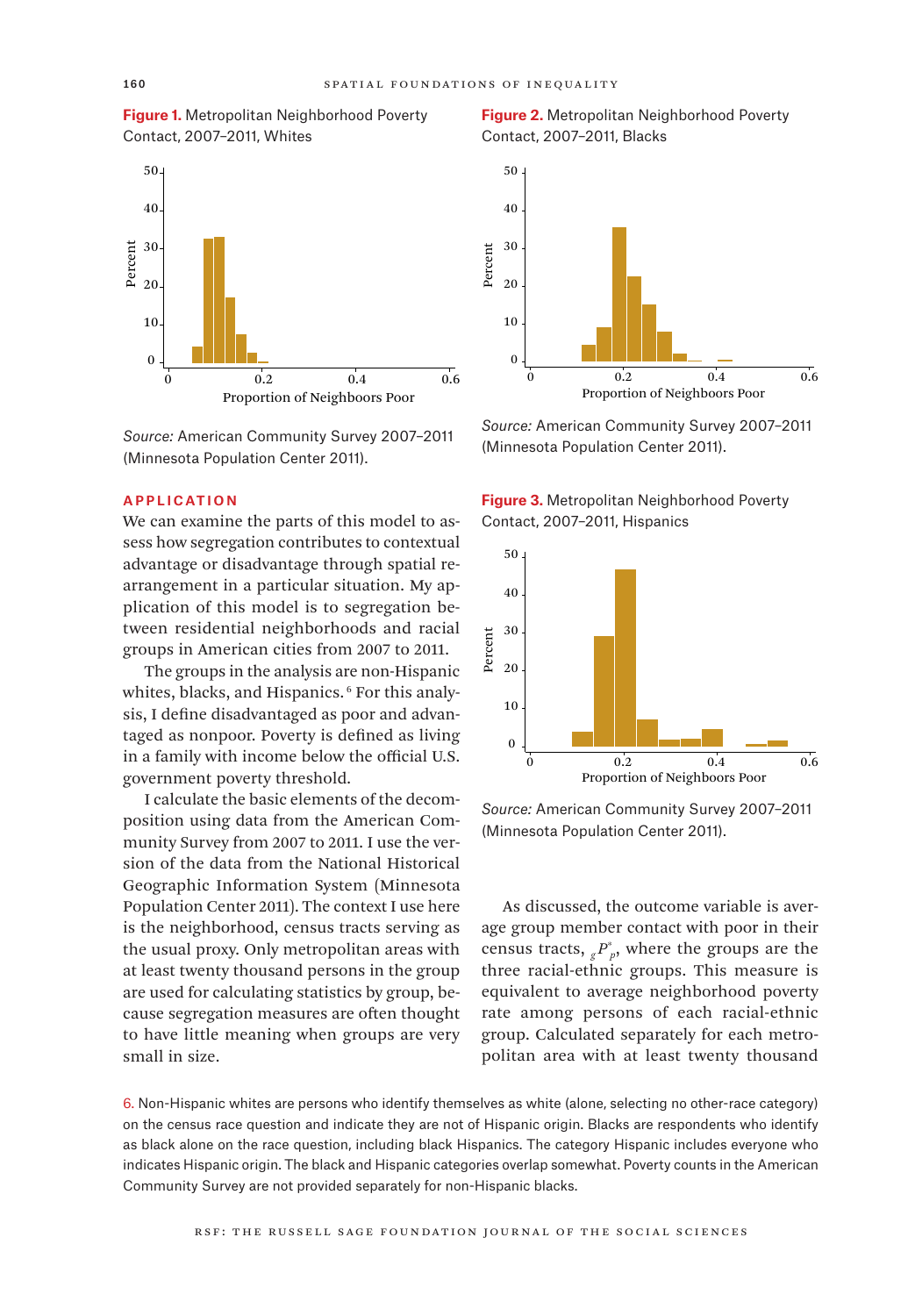**Figure 1.** Metropolitan Neighborhood Poverty Contact, 2007–2011, Whites



*Source:* American Community Survey 2007–2011 (Minnesota Population Center 2011).

### **APPLICATION**

We can examine the parts of this model to assess how segregation contributes to contextual advantage or disadvantage through spatial rearrangement in a particular situation. My application of this model is to segregation between residential neighborhoods and racial groups in American cities from 2007 to 2011.

The groups in the analysis are non-Hispanic whites, blacks, and Hispanics.<sup>6</sup> For this analysis, I define disadvantaged as poor and advantaged as nonpoor. Poverty is defined as living in a family with income below the official U.S. government poverty threshold.

I calculate the basic elements of the decomposition using data from the American Community Survey from 2007 to 2011. I use the version of the data from the National Historical Geographic Information System (Minnesota Population Center 2011). The context I use here is the neighborhood, census tracts serving as the usual proxy. Only metropolitan areas with at least twenty thousand persons in the group are used for calculating statistics by group, because segregation measures are often thought to have little meaning when groups are very small in size.

**Figure 2.** Metropolitan Neighborhood Poverty Contact, 2007–2011, Blacks



*Source:* American Community Survey 2007–2011 (Minnesota Population Center 2011).





*Source:* American Community Survey 2007–2011 (Minnesota Population Center 2011).

As discussed, the outcome variable is average group member contact with poor in their census tracts,  ${}_{g}P_{p}^{*}$ , where the groups are the three racial-ethnic groups. This measure is equivalent to average neighborhood poverty rate among persons of each racial-ethnic group. Calculated separately for each metropolitan area with at least twenty thousand

6. Non-Hispanic whites are persons who identify themselves as white (alone, selecting no other-race category) on the census race question and indicate they are not of Hispanic origin. Blacks are respondents who identify as black alone on the race question, including black Hispanics. The category Hispanic includes everyone who indicates Hispanic origin. The black and Hispanic categories overlap somewhat. Poverty counts in the American Community Survey are not provided separately for non-Hispanic blacks.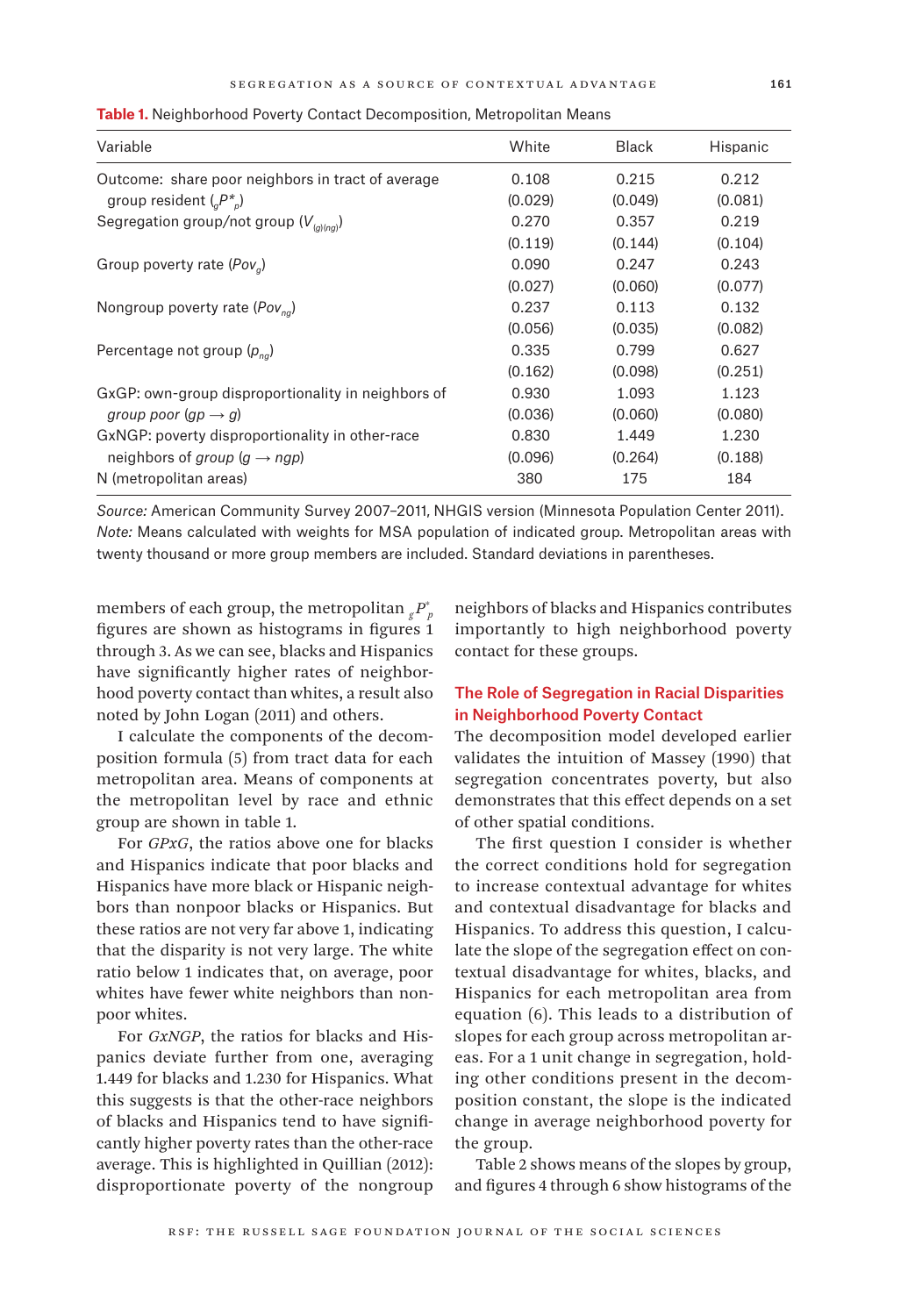| Variable                                           | White   | <b>Black</b> | Hispanic |
|----------------------------------------------------|---------|--------------|----------|
| Outcome: share poor neighbors in tract of average  | 0.108   | 0.215        | 0.212    |
| group resident $(_{a}P_{b}^{*})$                   | (0.029) | (0.049)      | (0.081)  |
| Segregation group/not group ( $V_{(q)(nq)}$ )      | 0.270   | 0.357        | 0.219    |
|                                                    | (0.119) | (0.144)      | (0.104)  |
| Group poverty rate ( $Pov_q$ )                     | 0.090   | 0.247        | 0.243    |
|                                                    | (0.027) | (0.060)      | (0.077)  |
| Nongroup poverty rate ( $Pov_{na}$ )               | 0.237   | 0.113        | 0.132    |
|                                                    | (0.056) | (0.035)      | (0.082)  |
| Percentage not group $(p_{na})$                    | 0.335   | 0.799        | 0.627    |
|                                                    | (0.162) | (0.098)      | (0.251)  |
| GxGP: own-group disproportionality in neighbors of | 0.930   | 1.093        | 1.123    |
| group poor $(qp \rightarrow q)$                    | (0.036) | (0.060)      | (0.080)  |
| GxNGP: poverty disproportionality in other-race    | 0.830   | 1.449        | 1.230    |
| neighbors of group $(q \rightarrow nqp)$           | (0.096) | (0.264)      | (0.188)  |
| N (metropolitan areas)                             | 380     | 175          | 184      |

**Table 1.** Neighborhood Poverty Contact Decomposition, Metropolitan Means

*Source:* American Community Survey 2007–2011, NHGIS version (Minnesota Population Center 2011). *Note:* Means calculated with weights for MSA population of indicated group. Metropolitan areas with twenty thousand or more group members are included. Standard deviations in parentheses.

members of each group, the metropolitan  ${}_{g}P_{p}^{*}$ figures are shown as histograms in figures 1 through 3. As we can see, blacks and Hispanics have significantly higher rates of neighborhood poverty contact than whites, a result also noted by John Logan (2011) and others.

I calculate the components of the decomposition formula (5) from tract data for each metropolitan area. Means of components at the metropolitan level by race and ethnic group are shown in table 1.

For *GPxG*, the ratios above one for blacks and Hispanics indicate that poor blacks and Hispanics have more black or Hispanic neighbors than nonpoor blacks or Hispanics. But these ratios are not very far above 1, indicating that the disparity is not very large. The white ratio below 1 indicates that, on average, poor whites have fewer white neighbors than nonpoor whites.

For *GxNGP*, the ratios for blacks and Hispanics deviate further from one, averaging 1.449 for blacks and 1.230 for Hispanics. What this suggests is that the other-race neighbors of blacks and Hispanics tend to have significantly higher poverty rates than the other-race average. This is highlighted in Quillian (2012): disproportionate poverty of the nongroup neighbors of blacks and Hispanics contributes importantly to high neighborhood poverty contact for these groups.

# The Role of Segregation in Racial Disparities in Neighborhood Poverty Contact

The decomposition model developed earlier validates the intuition of Massey (1990) that segregation concentrates poverty, but also demonstrates that this effect depends on a set of other spatial conditions.

The first question I consider is whether the correct conditions hold for segregation to increase contextual advantage for whites and contextual disadvantage for blacks and Hispanics. To address this question, I calculate the slope of the segregation effect on contextual disadvantage for whites, blacks, and Hispanics for each metropolitan area from equation (6). This leads to a distribution of slopes for each group across metropolitan areas. For a 1 unit change in segregation, holding other conditions present in the decomposition constant, the slope is the indicated change in average neighborhood poverty for the group.

Table 2 shows means of the slopes by group, and figures 4 through 6 show histograms of the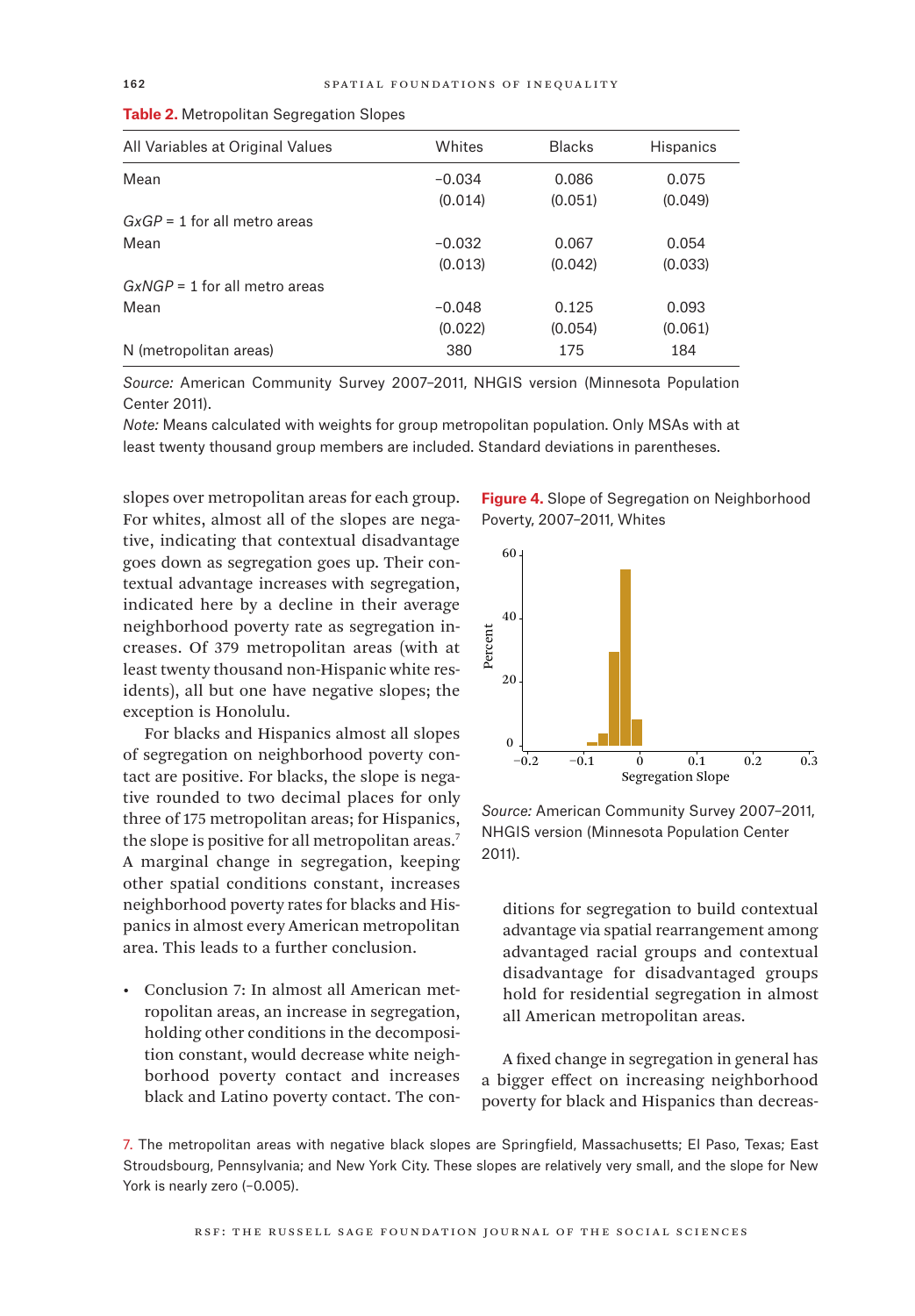| All Variables at Original Values | Whites   | <b>Blacks</b> | <b>Hispanics</b> |
|----------------------------------|----------|---------------|------------------|
| Mean                             | $-0.034$ | 0.086         | 0.075            |
|                                  | (0.014)  | (0.051)       | (0.049)          |
| $GxGP = 1$ for all metro areas   |          |               |                  |
| Mean                             | $-0.032$ | 0.067         | 0.054            |
|                                  | (0.013)  | (0.042)       | (0.033)          |
| $GxNGP = 1$ for all metro areas  |          |               |                  |
| Mean                             | $-0.048$ | 0.125         | 0.093            |
|                                  | (0.022)  | (0.054)       | (0.061)          |
| N (metropolitan areas)           | 380      | 175           | 184              |

|  |  | Table 2. Metropolitan Segregation Slopes |  |
|--|--|------------------------------------------|--|
|  |  |                                          |  |

*Source:* American Community Survey 2007–2011, NHGIS version (Minnesota Population Center 2011).

*Note:* Means calculated with weights for group metropolitan population. Only MSAs with at least twenty thousand group members are included. Standard deviations in parentheses.

slopes over metropolitan areas for each group. For whites, almost all of the slopes are negative, indicating that contextual disadvantage goes down as segregation goes up. Their contextual advantage increases with segregation, indicated here by a decline in their average neighborhood poverty rate as segregation increases. Of 379 metropolitan areas (with at least twenty thousand non-Hispanic white residents), all but one have negative slopes; the exception is Honolulu.

For blacks and Hispanics almost all slopes of segregation on neighborhood poverty contact are positive. For blacks, the slope is negative rounded to two decimal places for only three of 175 metropolitan areas; for Hispanics, the slope is positive for all metropolitan areas.<sup>7</sup> A marginal change in segregation, keeping other spatial conditions constant, increases neighborhood poverty rates for blacks and Hispanics in almost every American metropolitan area. This leads to a further conclusion.

• Conclusion 7: In almost all American metropolitan areas, an increase in segregation, holding other conditions in the decomposition constant, would decrease white neighborhood poverty contact and increases black and Latino poverty contact. The con-

**Figure 4.** Slope of Segregation on Neighborhood Poverty, 2007–2011, Whites



*Source:* American Community Survey 2007–2011, NHGIS version (Minnesota Population Center 2011).

ditions for segregation to build contextual advantage via spatial rearrangement among advantaged racial groups and contextual disadvantage for disadvantaged groups hold for residential segregation in almost all American metropolitan areas.

A fixed change in segregation in general has a bigger effect on increasing neighborhood poverty for black and Hispanics than decreas-

7. The metropolitan areas with negative black slopes are Springfield, Massachusetts; El Paso, Texas; East Stroudsbourg, Pennsylvania; and New York City. These slopes are relatively very small, and the slope for New York is nearly zero (-0.005).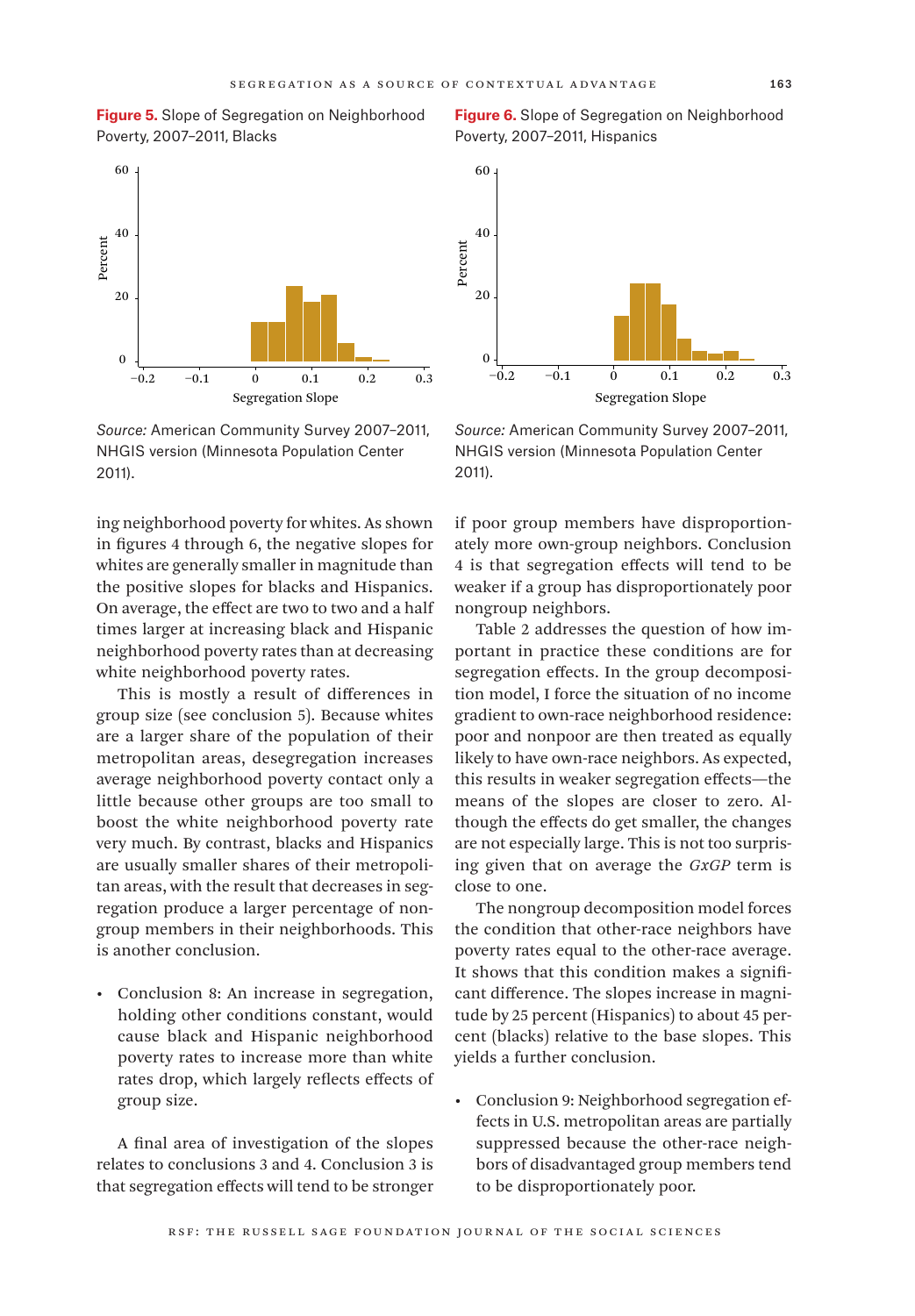



*Source:* American Community Survey 2007–2011, NHGIS version (Minnesota Population Center 2011).

ing neighborhood poverty for whites. As shown in figures 4 through 6, the negative slopes for whites are generally smaller in magnitude than the positive slopes for blacks and Hispanics. On average, the effect are two to two and a half times larger at increasing black and Hispanic neighborhood poverty rates than at decreasing white neighborhood poverty rates.

This is mostly a result of differences in group size (see conclusion 5). Because whites are a larger share of the population of their metropolitan areas, desegregation increases average neighborhood poverty contact only a little because other groups are too small to boost the white neighborhood poverty rate very much. By contrast, blacks and Hispanics are usually smaller shares of their metropolitan areas, with the result that decreases in segregation produce a larger percentage of nongroup members in their neighborhoods. This is another conclusion.

• Conclusion 8: An increase in segregation, holding other conditions constant, would cause black and Hispanic neighborhood poverty rates to increase more than white rates drop, which largely reflects effects of group size.

A final area of investigation of the slopes relates to conclusions 3 and 4. Conclusion 3 is that segregation effects will tend to be stronger

**Figure 6.** Slope of Segregation on Neighborhood Poverty, 2007–2011, Hispanics



*Source:* American Community Survey 2007–2011, NHGIS version (Minnesota Population Center 2011).

if poor group members have disproportionately more own-group neighbors. Conclusion 4 is that segregation effects will tend to be weaker if a group has disproportionately poor nongroup neighbors.

Table 2 addresses the question of how important in practice these conditions are for segregation effects. In the group decomposition model, I force the situation of no income gradient to own-race neighborhood residence: poor and nonpoor are then treated as equally likely to have own-race neighbors. As expected, this results in weaker segregation effects—the means of the slopes are closer to zero. Although the effects do get smaller, the changes are not especially large. This is not too surprising given that on average the *GxGP* term is close to one.

The nongroup decomposition model forces the condition that other-race neighbors have poverty rates equal to the other-race average. It shows that this condition makes a significant difference. The slopes increase in magnitude by 25 percent (Hispanics) to about 45 percent (blacks) relative to the base slopes. This yields a further conclusion.

• Conclusion 9: Neighborhood segregation effects in U.S. metropolitan areas are partially suppressed because the other-race neighbors of disadvantaged group members tend to be disproportionately poor.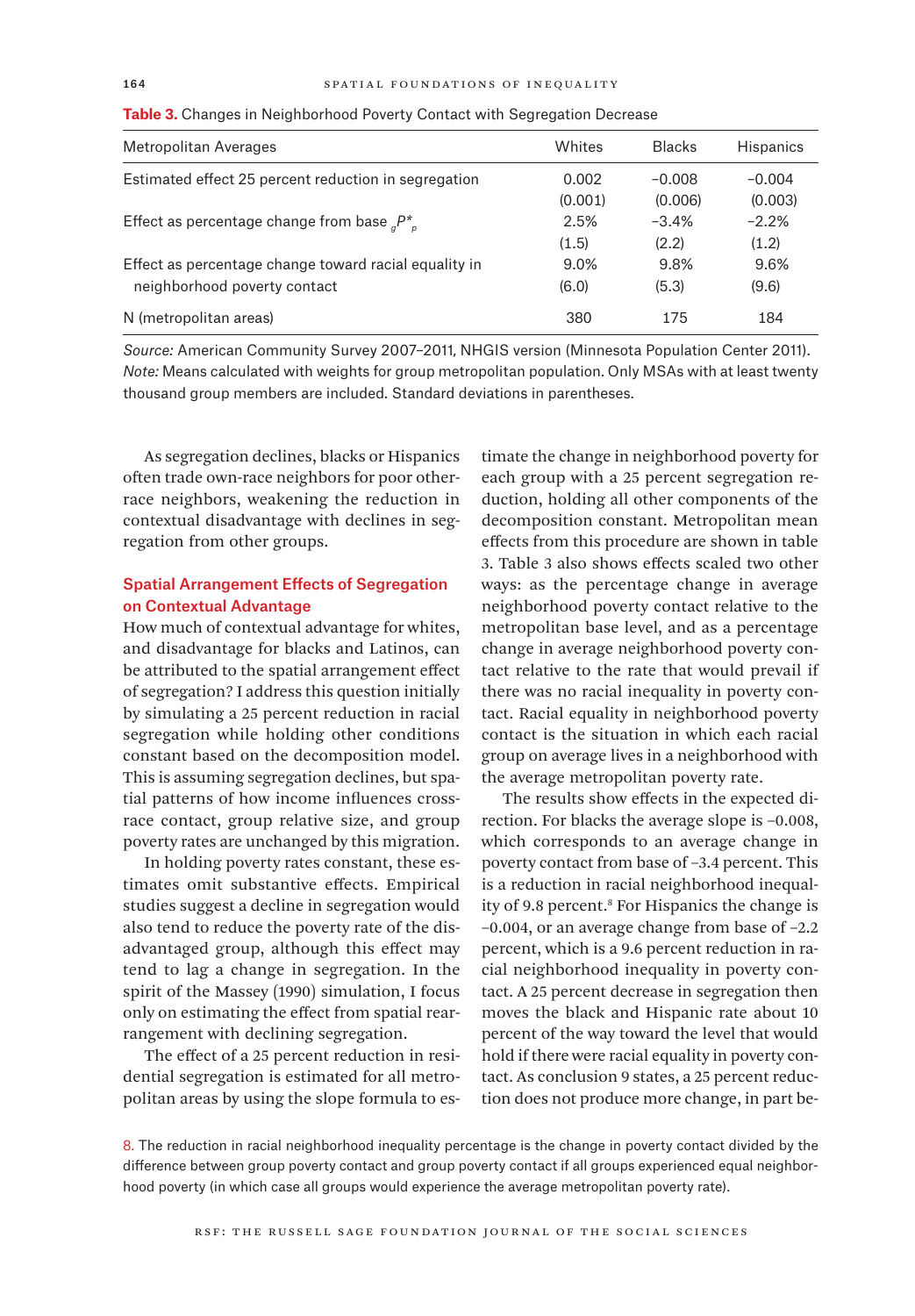| Metropolitan Averages                                   | Whites  | <b>Blacks</b> | <b>Hispanics</b> |
|---------------------------------------------------------|---------|---------------|------------------|
| Estimated effect 25 percent reduction in segregation    | 0.002   | $-0.008$      | $-0.004$         |
|                                                         | (0.001) | (0.006)       | (0.003)          |
| Effect as percentage change from base ${}_{a}P_{a}^{*}$ | 2.5%    | $-3.4%$       | $-2.2%$          |
|                                                         | (1.5)   | (2.2)         | (1.2)            |
| Effect as percentage change toward racial equality in   | $9.0\%$ | 9.8%          | 9.6%             |
| neighborhood poverty contact                            | (6.0)   | (5.3)         | (9.6)            |
| N (metropolitan areas)                                  | 380     | 175           | 184              |

**Table 3.** Changes in Neighborhood Poverty Contact with Segregation Decrease

*Source:* American Community Survey 2007–2011, NHGIS version (Minnesota Population Center 2011). *Note:* Means calculated with weights for group metropolitan population. Only MSAs with at least twenty thousand group members are included. Standard deviations in parentheses.

As segregation declines, blacks or Hispanics often trade own-race neighbors for poor otherrace neighbors, weakening the reduction in contextual disadvantage with declines in segregation from other groups.

## Spatial Arrangement Effects of Segregation on Contextual Advantage

How much of contextual advantage for whites, and disadvantage for blacks and Latinos, can be attributed to the spatial arrangement effect of segregation? I address this question initially by simulating a 25 percent reduction in racial segregation while holding other conditions constant based on the decomposition model. This is assuming segregation declines, but spatial patterns of how income influences crossrace contact, group relative size, and group poverty rates are unchanged by this migration.

In holding poverty rates constant, these estimates omit substantive effects. Empirical studies suggest a decline in segregation would also tend to reduce the poverty rate of the disadvantaged group, although this effect may tend to lag a change in segregation. In the spirit of the Massey (1990) simulation, I focus only on estimating the effect from spatial rearrangement with declining segregation.

The effect of a 25 percent reduction in residential segregation is estimated for all metropolitan areas by using the slope formula to estimate the change in neighborhood poverty for each group with a 25 percent segregation reduction, holding all other components of the decomposition constant. Metropolitan mean effects from this procedure are shown in table 3. Table 3 also shows effects scaled two other ways: as the percentage change in average neighborhood poverty contact relative to the metropolitan base level, and as a percentage change in average neighborhood poverty contact relative to the rate that would prevail if there was no racial inequality in poverty contact. Racial equality in neighborhood poverty contact is the situation in which each racial group on average lives in a neighborhood with the average metropolitan poverty rate.

The results show effects in the expected direction. For blacks the average slope is –0.008, which corresponds to an average change in poverty contact from base of –3.4 percent. This is a reduction in racial neighborhood inequality of 9.8 percent.<sup>8</sup> For Hispanics the change is –0.004, or an average change from base of –2.2 percent, which is a 9.6 percent reduction in racial neighborhood inequality in poverty contact. A 25 percent decrease in segregation then moves the black and Hispanic rate about 10 percent of the way toward the level that would hold if there were racial equality in poverty contact. As conclusion 9 states, a 25 percent reduction does not produce more change, in part be-

8. The reduction in racial neighborhood inequality percentage is the change in poverty contact divided by the difference between group poverty contact and group poverty contact if all groups experienced equal neighborhood poverty (in which case all groups would experience the average metropolitan poverty rate).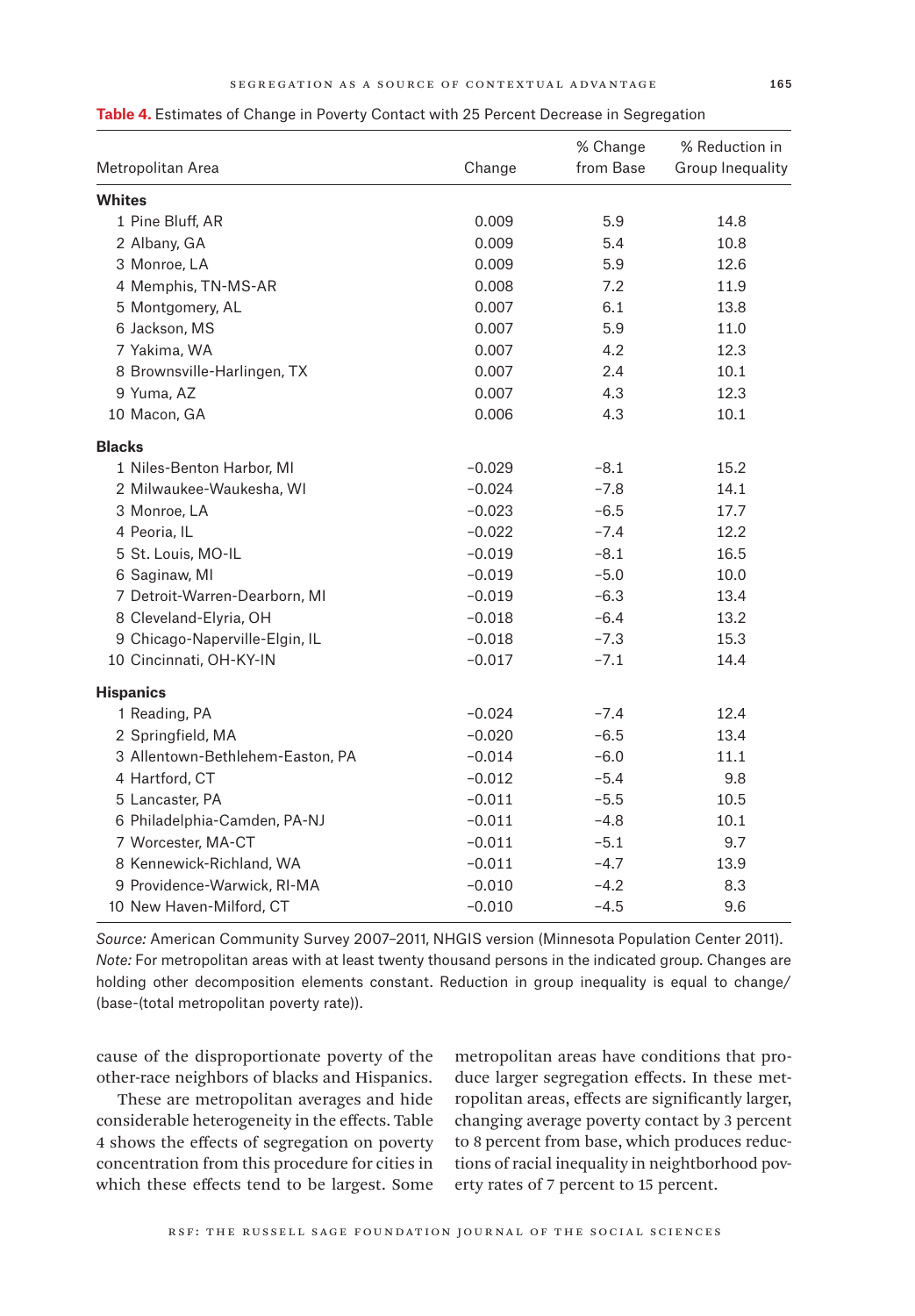|  | I<br>I |  |
|--|--------|--|
|  |        |  |

|  | Table 4. Estimates of Change in Poverty Contact with 25 Percent Decrease in Segregation |  |  |  |
|--|-----------------------------------------------------------------------------------------|--|--|--|
|  |                                                                                         |  |  |  |

|               | Metropolitan Area                | Change   | % Change<br>from Base | % Reduction in<br>Group Inequality |
|---------------|----------------------------------|----------|-----------------------|------------------------------------|
| <b>Whites</b> |                                  |          |                       |                                    |
|               | 1 Pine Bluff, AR                 | 0.009    | 5.9                   | 14.8                               |
|               | 2 Albany, GA                     | 0.009    | 5.4                   | 10.8                               |
|               | 3 Monroe, LA                     | 0.009    | 5.9                   | 12.6                               |
|               | 4 Memphis, TN-MS-AR              | 0.008    | 7.2                   | 11.9                               |
|               | 5 Montgomery, AL                 | 0.007    | 6.1                   | 13.8                               |
|               | 6 Jackson, MS                    | 0.007    | 5.9                   | 11.0                               |
|               | 7 Yakima, WA                     | 0.007    | 4.2                   | 12.3                               |
|               | 8 Brownsville-Harlingen, TX      | 0.007    | 2.4                   | 10.1                               |
|               | 9 Yuma, AZ                       | 0.007    | 4.3                   | 12.3                               |
|               | 10 Macon, GA                     | 0.006    | 4.3                   | 10.1                               |
| <b>Blacks</b> |                                  |          |                       |                                    |
|               | 1 Niles-Benton Harbor, MI        | $-0.029$ | $-8.1$                | 15.2                               |
|               | 2 Milwaukee-Waukesha, WI         | $-0.024$ | $-7.8$                | 14.1                               |
|               | 3 Monroe, LA                     | $-0.023$ | $-6.5$                | 17.7                               |
|               | 4 Peoria, IL                     | $-0.022$ | $-7.4$                | 12.2                               |
|               | 5 St. Louis, MO-IL               | $-0.019$ | $-8.1$                | 16.5                               |
|               | 6 Saginaw, MI                    | $-0.019$ | $-5.0$                | 10.0                               |
|               | 7 Detroit-Warren-Dearborn, MI    | $-0.019$ | $-6.3$                | 13.4                               |
|               | 8 Cleveland-Elyria, OH           | $-0.018$ | $-6.4$                | 13.2                               |
|               | 9 Chicago-Naperville-Elgin, IL   | $-0.018$ | $-7.3$                | 15.3                               |
|               | 10 Cincinnati, OH-KY-IN          | $-0.017$ | $-7.1$                | 14.4                               |
|               | <b>Hispanics</b>                 |          |                       |                                    |
|               | 1 Reading, PA                    | $-0.024$ | $-7.4$                | 12.4                               |
|               | 2 Springfield, MA                | $-0.020$ | $-6.5$                | 13.4                               |
|               | 3 Allentown-Bethlehem-Easton, PA | $-0.014$ | $-6.0$                | 11.1                               |
|               | 4 Hartford, CT                   | $-0.012$ | $-5.4$                | 9.8                                |
|               | 5 Lancaster, PA                  | $-0.011$ | $-5.5$                | 10.5                               |
|               | 6 Philadelphia-Camden, PA-NJ     | $-0.011$ | $-4.8$                | 10.1                               |
|               | 7 Worcester, MA-CT               | $-0.011$ | $-5.1$                | 9.7                                |
|               | 8 Kennewick-Richland, WA         | $-0.011$ | $-4.7$                | 13.9                               |
|               | 9 Providence-Warwick, RI-MA      | $-0.010$ | $-4.2$                | 8.3                                |
|               | 10 New Haven-Milford, CT         | $-0.010$ | $-4.5$                | 9.6                                |

*Source:* American Community Survey 2007–2011, NHGIS version (Minnesota Population Center 2011). *Note:* For metropolitan areas with at least twenty thousand persons in the indicated group. Changes are holding other decomposition elements constant. Reduction in group inequality is equal to change/ (base-(total metropolitan poverty rate)).

cause of the disproportionate poverty of the other-race neighbors of blacks and Hispanics.

These are metropolitan averages and hide considerable heterogeneity in the effects. Table 4 shows the effects of segregation on poverty concentration from this procedure for cities in which these effects tend to be largest. Some

metropolitan areas have conditions that produce larger segregation effects. In these metropolitan areas, effects are significantly larger, changing average poverty contact by 3 percent to 8 percent from base, which produces reductions of racial inequality in neightborhood poverty rates of 7 percent to 15 percent.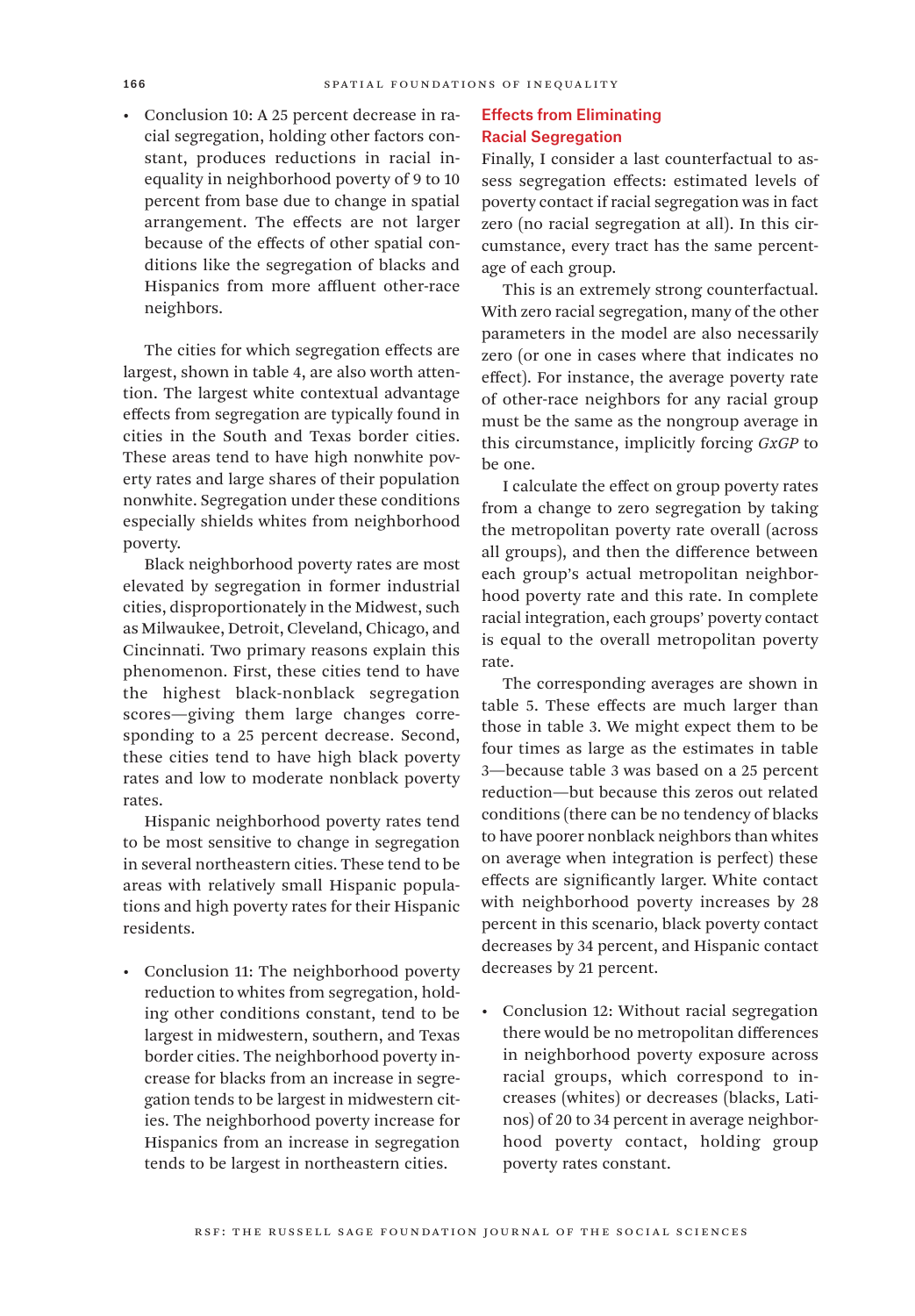• Conclusion 10: A 25 percent decrease in racial segregation, holding other factors constant, produces reductions in racial inequality in neighborhood poverty of 9 to 10 percent from base due to change in spatial arrangement. The effects are not larger because of the effects of other spatial conditions like the segregation of blacks and Hispanics from more affluent other-race neighbors.

The cities for which segregation effects are largest, shown in table 4, are also worth attention. The largest white contextual advantage effects from segregation are typically found in cities in the South and Texas border cities. These areas tend to have high nonwhite poverty rates and large shares of their population nonwhite. Segregation under these conditions especially shields whites from neighborhood poverty.

Black neighborhood poverty rates are most elevated by segregation in former industrial cities, disproportionately in the Midwest, such as Milwaukee, Detroit, Cleveland, Chicago, and Cincinnati. Two primary reasons explain this phenomenon. First, these cities tend to have the highest black-nonblack segregation scores—giving them large changes corresponding to a 25 percent decrease. Second, these cities tend to have high black poverty rates and low to moderate nonblack poverty rates.

Hispanic neighborhood poverty rates tend to be most sensitive to change in segregation in several northeastern cities. These tend to be areas with relatively small Hispanic populations and high poverty rates for their Hispanic residents.

• Conclusion 11: The neighborhood poverty reduction to whites from segregation, holding other conditions constant, tend to be largest in midwestern, southern, and Texas border cities. The neighborhood poverty increase for blacks from an increase in segregation tends to be largest in midwestern cities. The neighborhood poverty increase for Hispanics from an increase in segregation tends to be largest in northeastern cities.

## Effects from Eliminating Racial Segregation

Finally, I consider a last counterfactual to assess segregation effects: estimated levels of poverty contact if racial segregation was in fact zero (no racial segregation at all). In this circumstance, every tract has the same percentage of each group.

This is an extremely strong counterfactual. With zero racial segregation, many of the other parameters in the model are also necessarily zero (or one in cases where that indicates no effect). For instance, the average poverty rate of other-race neighbors for any racial group must be the same as the nongroup average in this circumstance, implicitly forcing *GxGP* to be one.

I calculate the effect on group poverty rates from a change to zero segregation by taking the metropolitan poverty rate overall (across all groups), and then the difference between each group's actual metropolitan neighborhood poverty rate and this rate. In complete racial integration, each groups' poverty contact is equal to the overall metropolitan poverty rate.

The corresponding averages are shown in table 5. These effects are much larger than those in table 3. We might expect them to be four times as large as the estimates in table 3—because table 3 was based on a 25 percent reduction—but because this zeros out related conditions (there can be no tendency of blacks to have poorer nonblack neighbors than whites on average when integration is perfect) these effects are significantly larger. White contact with neighborhood poverty increases by 28 percent in this scenario, black poverty contact decreases by 34 percent, and Hispanic contact decreases by 21 percent.

• Conclusion 12: Without racial segregation there would be no metropolitan differences in neighborhood poverty exposure across racial groups, which correspond to increases (whites) or decreases (blacks, Latinos) of 20 to 34 percent in average neighborhood poverty contact, holding group poverty rates constant.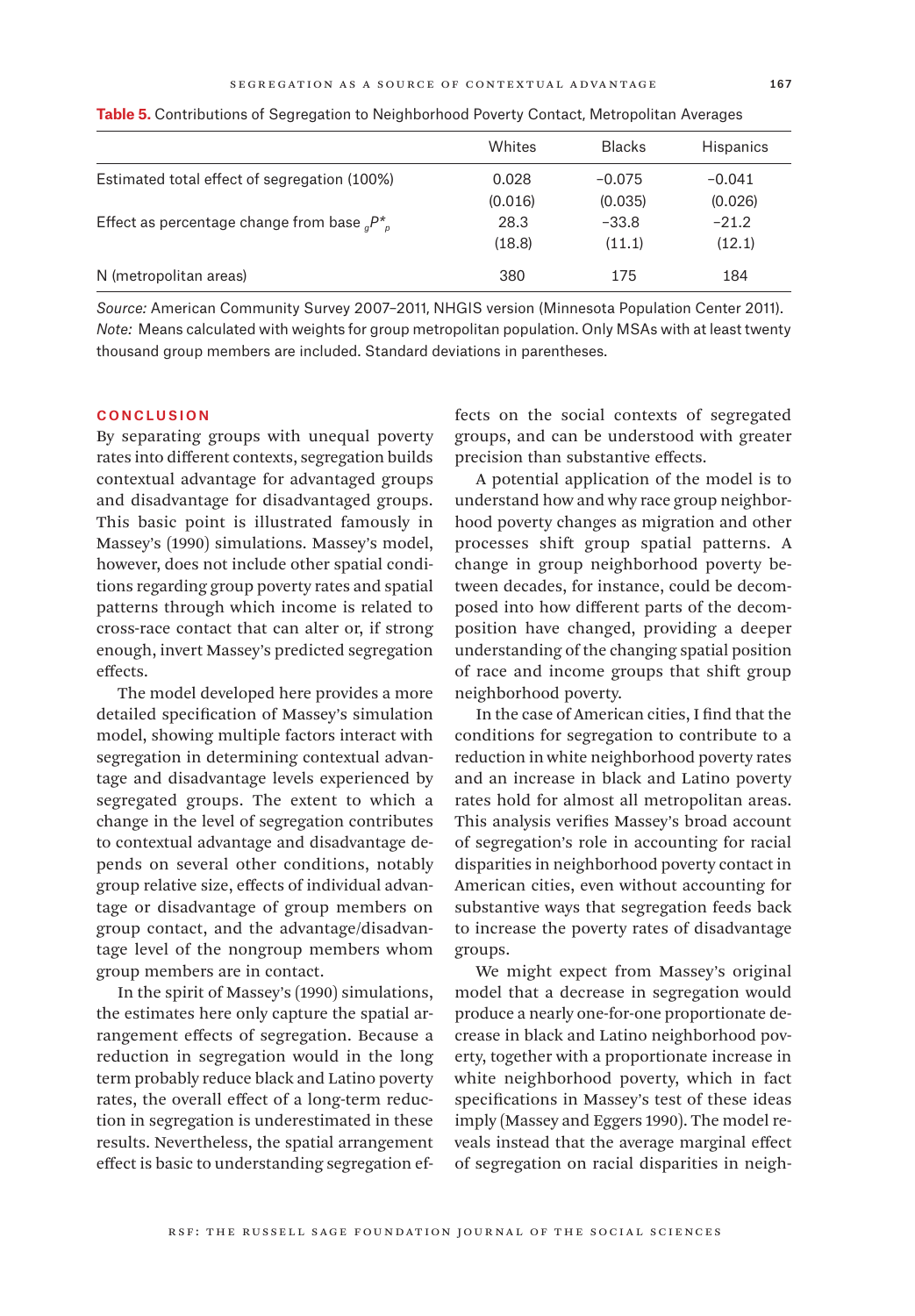|                                                         | Whites  | <b>Blacks</b> | <b>Hispanics</b> |  |
|---------------------------------------------------------|---------|---------------|------------------|--|
|                                                         |         |               |                  |  |
| Estimated total effect of segregation (100%)            | 0.028   | $-0.075$      | $-0.041$         |  |
|                                                         | (0.016) | (0.035)       | (0.026)          |  |
| Effect as percentage change from base ${}_{a}P_{a}^{*}$ | 28.3    | $-33.8$       | $-21.2$          |  |
|                                                         | (18.8)  | (11.1)        | (12.1)           |  |
| N (metropolitan areas)                                  | 380     | 175           | 184              |  |

**Table 5.** Contributions of Segregation to Neighborhood Poverty Contact, Metropolitan Averages

*Source:* American Community Survey 2007–2011, NHGIS version (Minnesota Population Center 2011). *Note:* Means calculated with weights for group metropolitan population. Only MSAs with at least twenty thousand group members are included. Standard deviations in parentheses.

## **CONCLUSION**

By separating groups with unequal poverty rates into different contexts, segregation builds contextual advantage for advantaged groups and disadvantage for disadvantaged groups. This basic point is illustrated famously in Massey's (1990) simulations. Massey's model, however, does not include other spatial conditions regarding group poverty rates and spatial patterns through which income is related to cross-race contact that can alter or, if strong enough, invert Massey's predicted segregation effects.

The model developed here provides a more detailed specification of Massey's simulation model, showing multiple factors interact with segregation in determining contextual advantage and disadvantage levels experienced by segregated groups. The extent to which a change in the level of segregation contributes to contextual advantage and disadvantage depends on several other conditions, notably group relative size, effects of individual advantage or disadvantage of group members on group contact, and the advantage/disadvantage level of the nongroup members whom group members are in contact.

In the spirit of Massey's (1990) simulations, the estimates here only capture the spatial arrangement effects of segregation. Because a reduction in segregation would in the long term probably reduce black and Latino poverty rates, the overall effect of a long-term reduction in segregation is underestimated in these results. Nevertheless, the spatial arrangement effect is basic to understanding segregation effects on the social contexts of segregated groups, and can be understood with greater precision than substantive effects.

A potential application of the model is to understand how and why race group neighborhood poverty changes as migration and other processes shift group spatial patterns. A change in group neighborhood poverty between decades, for instance, could be decomposed into how different parts of the decomposition have changed, providing a deeper understanding of the changing spatial position of race and income groups that shift group neighborhood poverty.

In the case of American cities, I find that the conditions for segregation to contribute to a reduction in white neighborhood poverty rates and an increase in black and Latino poverty rates hold for almost all metropolitan areas. This analysis verifies Massey's broad account of segregation's role in accounting for racial disparities in neighborhood poverty contact in American cities, even without accounting for substantive ways that segregation feeds back to increase the poverty rates of disadvantage groups.

We might expect from Massey's original model that a decrease in segregation would produce a nearly one-for-one proportionate decrease in black and Latino neighborhood poverty, together with a proportionate increase in white neighborhood poverty, which in fact specifications in Massey's test of these ideas imply (Massey and Eggers 1990). The model reveals instead that the average marginal effect of segregation on racial disparities in neigh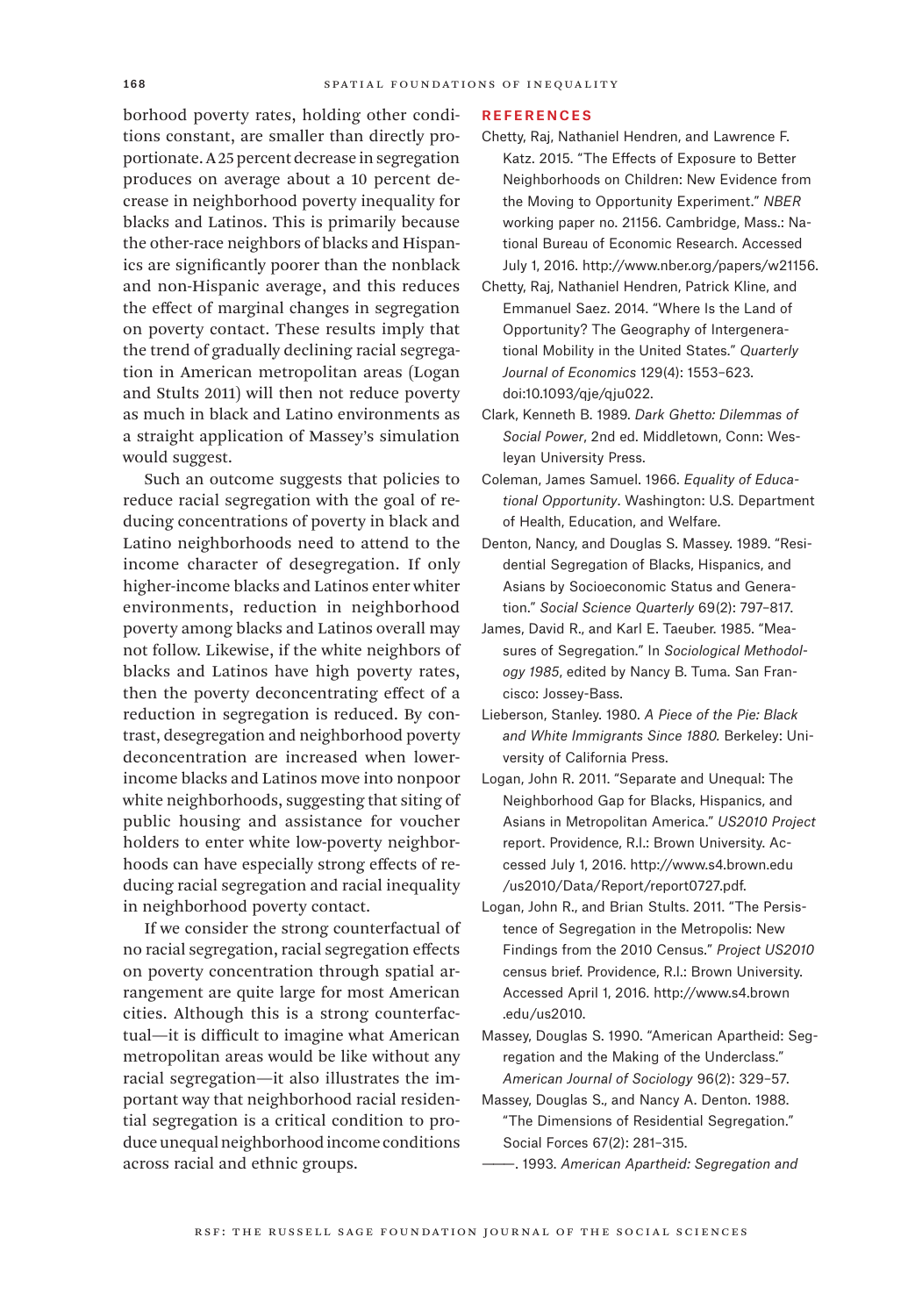borhood poverty rates, holding other conditions constant, are smaller than directly proportionate. A 25 percent decrease in segregation produces on average about a 10 percent decrease in neighborhood poverty inequality for blacks and Latinos. This is primarily because the other-race neighbors of blacks and Hispanics are significantly poorer than the nonblack and non-Hispanic average, and this reduces the effect of marginal changes in segregation on poverty contact. These results imply that the trend of gradually declining racial segregation in American metropolitan areas (Logan and Stults 2011) will then not reduce poverty as much in black and Latino environments as a straight application of Massey's simulation would suggest.

Such an outcome suggests that policies to reduce racial segregation with the goal of reducing concentrations of poverty in black and Latino neighborhoods need to attend to the income character of desegregation. If only higher-income blacks and Latinos enter whiter environments, reduction in neighborhood poverty among blacks and Latinos overall may not follow. Likewise, if the white neighbors of blacks and Latinos have high poverty rates, then the poverty deconcentrating effect of a reduction in segregation is reduced. By contrast, desegregation and neighborhood poverty deconcentration are increased when lowerincome blacks and Latinos move into nonpoor white neighborhoods, suggesting that siting of public housing and assistance for voucher holders to enter white low-poverty neighborhoods can have especially strong effects of reducing racial segregation and racial inequality in neighborhood poverty contact.

If we consider the strong counterfactual of no racial segregation, racial segregation effects on poverty concentration through spatial arrangement are quite large for most American cities. Although this is a strong counterfactual—it is difficult to imagine what American metropolitan areas would be like without any racial segregation—it also illustrates the important way that neighborhood racial residential segregation is a critical condition to produce unequal neighborhood income conditions across racial and ethnic groups.

### References

- Chetty, Raj, Nathaniel Hendren, and Lawrence F. Katz. 2015. "The Effects of Exposure to Better Neighborhoods on Children: New Evidence from the Moving to Opportunity Experiment." *NBER* working paper no. 21156. Cambridge, Mass.: National Bureau of Economic Research. Accessed July 1, 2016. <http://www.nber.org/papers/w21156.>
- Chetty, Raj, Nathaniel Hendren, Patrick Kline, and Emmanuel Saez. 2014. "Where Is the Land of Opportunity? The Geography of Intergenerational Mobility in the United States." *Quarterly Journal of Economics* 129(4): 1553–623. doi:10.1093/qje/qju022.
- Clark, Kenneth B. 1989. *Dark Ghetto: Dilemmas of Social Power*, 2nd ed. Middletown, Conn: Wesleyan University Press.
- Coleman, James Samuel. 1966. *Equality of Educational Opportunity*. Washington: U.S. Department of Health, Education, and Welfare.
- Denton, Nancy, and Douglas S. Massey. 1989. "Residential Segregation of Blacks, Hispanics, and Asians by Socioeconomic Status and Generation." *Social Science Quarterly* 69(2): 797–817.
- James, David R., and Karl E. Taeuber. 1985. "Measures of Segregation." In *Sociological Methodology 1985*, edited by Nancy B. Tuma. San Francisco: Jossey-Bass.
- Lieberson, Stanley. 1980. *A Piece of the Pie: Black and White Immigrants Since 1880.* Berkeley: University of California Press.
- Logan, John R. 2011. "Separate and Unequal: The Neighborhood Gap for Blacks, Hispanics, and Asians in Metropolitan America." *US2010 Project* report. Providence, R.I.: Brown University. Accessed July 1, 2016. [http://www.s4.brown.edu](http://www.s4.brown.edu/us2010/Data/Report/report0727.pdf.) [/us2010/Data/Report/report0727.pdf.](http://www.s4.brown.edu/us2010/Data/Report/report0727.pdf.)
- Logan, John R., and Brian Stults. 2011. "The Persistence of Segregation in the Metropolis: New Findings from the 2010 Census." *Project US2010* census brief. Providence, R.I.: Brown University. Accessed April 1, 2016. [http://www.s4.brown](http://www.s4.brown.edu/us2010.) [.edu/us2010.](http://www.s4.brown.edu/us2010.)

Massey, Douglas S. 1990. "American Apartheid: Segregation and the Making of the Underclass." *American Journal of Sociology* 96(2): 329–57.

- Massey, Douglas S., and Nancy A. Denton. 1988. "The Dimensions of Residential Segregation." Social Forces 67(2): 281–315.
- ———. 1993. *American Apartheid: Segregation and*